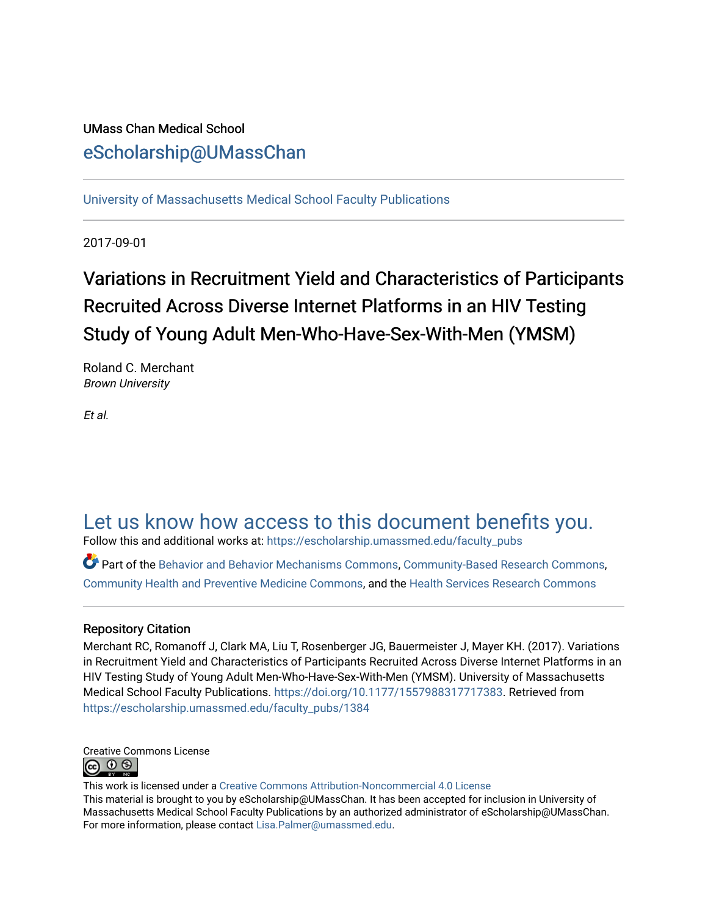## UMass Chan Medical School [eScholarship@UMassChan](https://escholarship.umassmed.edu/)

[University of Massachusetts Medical School Faculty Publications](https://escholarship.umassmed.edu/faculty_pubs)

2017-09-01

# Variations in Recruitment Yield and Characteristics of Participants Recruited Across Diverse Internet Platforms in an HIV Testing Study of Young Adult Men-Who-Have-Sex-With-Men (YMSM)

Roland C. Merchant Brown University

Et al.

## [Let us know how access to this document benefits you.](https://arcsapps.umassmed.edu/redcap/surveys/?s=XWRHNF9EJE)

Follow this and additional works at: [https://escholarship.umassmed.edu/faculty\\_pubs](https://escholarship.umassmed.edu/faculty_pubs?utm_source=escholarship.umassmed.edu%2Ffaculty_pubs%2F1384&utm_medium=PDF&utm_campaign=PDFCoverPages) 

Part of the [Behavior and Behavior Mechanisms Commons,](http://network.bepress.com/hgg/discipline/963?utm_source=escholarship.umassmed.edu%2Ffaculty_pubs%2F1384&utm_medium=PDF&utm_campaign=PDFCoverPages) [Community-Based Research Commons](http://network.bepress.com/hgg/discipline/1047?utm_source=escholarship.umassmed.edu%2Ffaculty_pubs%2F1384&utm_medium=PDF&utm_campaign=PDFCoverPages), [Community Health and Preventive Medicine Commons](http://network.bepress.com/hgg/discipline/744?utm_source=escholarship.umassmed.edu%2Ffaculty_pubs%2F1384&utm_medium=PDF&utm_campaign=PDFCoverPages), and the [Health Services Research Commons](http://network.bepress.com/hgg/discipline/816?utm_source=escholarship.umassmed.edu%2Ffaculty_pubs%2F1384&utm_medium=PDF&utm_campaign=PDFCoverPages) 

### Repository Citation

Merchant RC, Romanoff J, Clark MA, Liu T, Rosenberger JG, Bauermeister J, Mayer KH. (2017). Variations in Recruitment Yield and Characteristics of Participants Recruited Across Diverse Internet Platforms in an HIV Testing Study of Young Adult Men-Who-Have-Sex-With-Men (YMSM). University of Massachusetts Medical School Faculty Publications.<https://doi.org/10.1177/1557988317717383>. Retrieved from [https://escholarship.umassmed.edu/faculty\\_pubs/1384](https://escholarship.umassmed.edu/faculty_pubs/1384?utm_source=escholarship.umassmed.edu%2Ffaculty_pubs%2F1384&utm_medium=PDF&utm_campaign=PDFCoverPages) 

Creative Commons License (ഒ) ⊙ ⊛

This work is licensed under a [Creative Commons Attribution-Noncommercial 4.0 License](http://creativecommons.org/licenses/by-nc/4.0/)  This material is brought to you by eScholarship@UMassChan. It has been accepted for inclusion in University of Massachusetts Medical School Faculty Publications by an authorized administrator of eScholarship@UMassChan. For more information, please contact [Lisa.Palmer@umassmed.edu](mailto:Lisa.Palmer@umassmed.edu).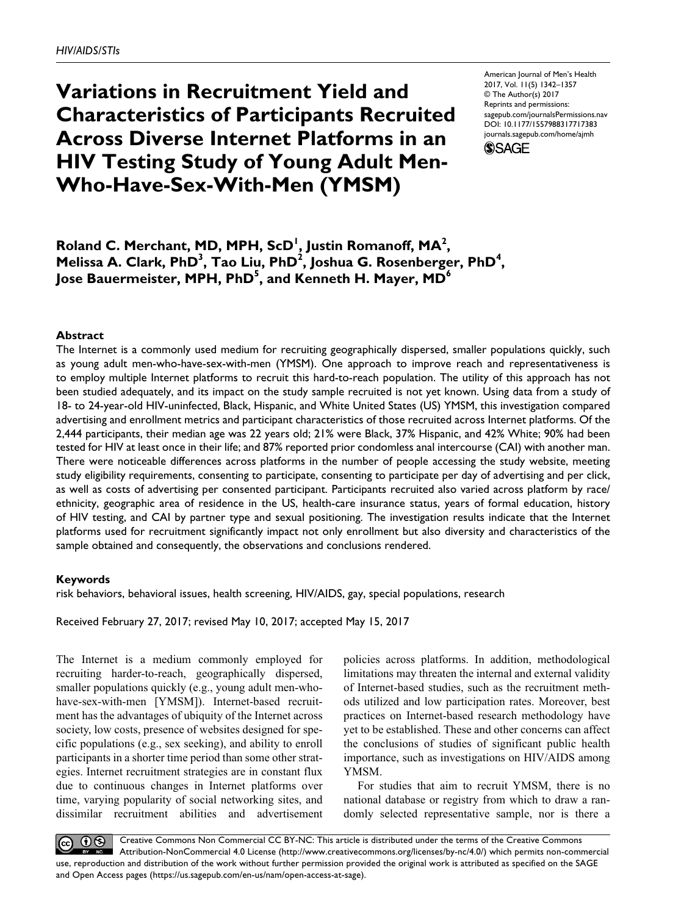## **Variations in Recruitment Yield and Characteristics of Participants Recruited Across Diverse Internet Platforms in an HIV Testing Study of Young Adult Men-Who-Have-Sex-With-Men (YMSM)**

https://doi.org/10.1177/1557988317717383 DOI: 10.1177/1557988317717383 American Journal of Men's Health 2017, Vol. 11(5) 1342–1357 © The Author(s) 2017 Reprints and permissions: [sagepub.com/journalsPermissions.nav](https://us.sagepub.com/en-us/journals-permissions) [journals.sagepub.com/home/ajmh](https://journals.sagepub.com/home/ajmh)

**SSAGE** 

Roland C. Merchant, MD, MPH, ScD<sup>1</sup>, Justin Romanoff, MA<sup>2</sup>, Melissa A. Clark, PhD<sup>3</sup>, Tao Liu, PhD<sup>2</sup>, Joshua G. Rosenberger, PhD<sup>4</sup>, **Jose Bauermeister, MPH, PhD** $^5$ **, and Kenneth H. Mayer, MD** $^6$ 

#### **Abstract**

The Internet is a commonly used medium for recruiting geographically dispersed, smaller populations quickly, such as young adult men-who-have-sex-with-men (YMSM). One approach to improve reach and representativeness is to employ multiple Internet platforms to recruit this hard-to-reach population. The utility of this approach has not been studied adequately, and its impact on the study sample recruited is not yet known. Using data from a study of 18- to 24-year-old HIV-uninfected, Black, Hispanic, and White United States (US) YMSM, this investigation compared advertising and enrollment metrics and participant characteristics of those recruited across Internet platforms. Of the 2,444 participants, their median age was 22 years old; 21% were Black, 37% Hispanic, and 42% White; 90% had been tested for HIV at least once in their life; and 87% reported prior condomless anal intercourse (CAI) with another man. There were noticeable differences across platforms in the number of people accessing the study website, meeting study eligibility requirements, consenting to participate, consenting to participate per day of advertising and per click, as well as costs of advertising per consented participant. Participants recruited also varied across platform by race/ ethnicity, geographic area of residence in the US, health-care insurance status, years of formal education, history of HIV testing, and CAI by partner type and sexual positioning. The investigation results indicate that the Internet platforms used for recruitment significantly impact not only enrollment but also diversity and characteristics of the sample obtained and consequently, the observations and conclusions rendered.

#### **Keywords**

risk behaviors, behavioral issues, health screening, HIV/AIDS, gay, special populations, research

Received February 27, 2017; revised May 10, 2017; accepted May 15, 2017

The Internet is a medium commonly employed for recruiting harder-to-reach, geographically dispersed, smaller populations quickly (e.g., young adult men-whohave-sex-with-men [YMSM]). Internet-based recruitment has the advantages of ubiquity of the Internet across society, low costs, presence of websites designed for specific populations (e.g., sex seeking), and ability to enroll participants in a shorter time period than some other strategies. Internet recruitment strategies are in constant flux due to continuous changes in Internet platforms over time, varying popularity of social networking sites, and dissimilar recruitment abilities and advertisement

policies across platforms. In addition, methodological limitations may threaten the internal and external validity of Internet-based studies, such as the recruitment methods utilized and low participation rates. Moreover, best practices on Internet-based research methodology have yet to be established. These and other concerns can affect the conclusions of studies of significant public health importance, such as investigations on HIV/AIDS among YMSM.

For studies that aim to recruit YMSM, there is no national database or registry from which to draw a randomly selected representative sample, nor is there a

 $\circledcirc$   $\circledcirc$ Creative Commons Non Commercial CC BY-NC: This article is distributed under the terms of the Creative Commons Attribution-NonCommercial 4.0 License (http://www.creativecommons.org/licenses/by-nc/4.0/) which permits non-commercial use, reproduction and distribution of the work without further permission provided the original work is attributed as specified on the SAGE and Open Access pages (https://us.sagepub.com/en-us/nam/open-access-at-sage).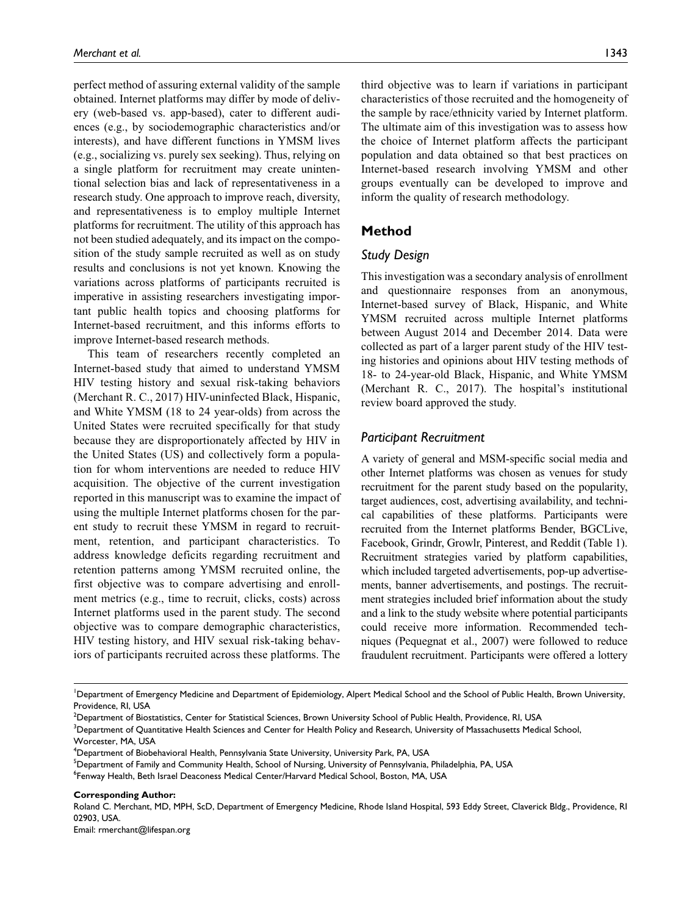perfect method of assuring external validity of the sample obtained. Internet platforms may differ by mode of delivery (web-based vs. app-based), cater to different audiences (e.g., by sociodemographic characteristics and/or interests), and have different functions in YMSM lives (e.g., socializing vs. purely sex seeking). Thus, relying on a single platform for recruitment may create unintentional selection bias and lack of representativeness in a research study. One approach to improve reach, diversity, and representativeness is to employ multiple Internet platforms for recruitment. The utility of this approach has not been studied adequately, and its impact on the composition of the study sample recruited as well as on study results and conclusions is not yet known. Knowing the variations across platforms of participants recruited is imperative in assisting researchers investigating important public health topics and choosing platforms for Internet-based recruitment, and this informs efforts to improve Internet-based research methods.

This team of researchers recently completed an Internet-based study that aimed to understand YMSM HIV testing history and sexual risk-taking behaviors (Merchant R. C., 2017) HIV-uninfected Black, Hispanic, and White YMSM (18 to 24 year-olds) from across the United States were recruited specifically for that study because they are disproportionately affected by HIV in the United States (US) and collectively form a population for whom interventions are needed to reduce HIV acquisition. The objective of the current investigation reported in this manuscript was to examine the impact of using the multiple Internet platforms chosen for the parent study to recruit these YMSM in regard to recruitment, retention, and participant characteristics. To address knowledge deficits regarding recruitment and retention patterns among YMSM recruited online, the first objective was to compare advertising and enrollment metrics (e.g., time to recruit, clicks, costs) across Internet platforms used in the parent study. The second objective was to compare demographic characteristics, HIV testing history, and HIV sexual risk-taking behaviors of participants recruited across these platforms. The

third objective was to learn if variations in participant characteristics of those recruited and the homogeneity of the sample by race/ethnicity varied by Internet platform. The ultimate aim of this investigation was to assess how the choice of Internet platform affects the participant population and data obtained so that best practices on Internet-based research involving YMSM and other groups eventually can be developed to improve and inform the quality of research methodology.

#### **Method**

#### *Study Design*

This investigation was a secondary analysis of enrollment and questionnaire responses from an anonymous, Internet-based survey of Black, Hispanic, and White YMSM recruited across multiple Internet platforms between August 2014 and December 2014. Data were collected as part of a larger parent study of the HIV testing histories and opinions about HIV testing methods of 18- to 24-year-old Black, Hispanic, and White YMSM (Merchant R. C., 2017). The hospital's institutional review board approved the study.

#### *Participant Recruitment*

A variety of general and MSM-specific social media and other Internet platforms was chosen as venues for study recruitment for the parent study based on the popularity, target audiences, cost, advertising availability, and technical capabilities of these platforms. Participants were recruited from the Internet platforms Bender, BGCLive, Facebook, Grindr, Growlr, Pinterest, and Reddit (Table 1). Recruitment strategies varied by platform capabilities, which included targeted advertisements, pop-up advertisements, banner advertisements, and postings. The recruitment strategies included brief information about the study and a link to the study website where potential participants could receive more information. Recommended techniques (Pequegnat et al., 2007) were followed to reduce fraudulent recruitment. Participants were offered a lottery

#### **Corresponding Author:**

Email: [rmerchant@lifespan.org](mailto:rmerchant@lifespan.org)

<sup>1</sup> Department of Emergency Medicine and Department of Epidemiology, Alpert Medical School and the School of Public Health, Brown University, Providence, RI, USA

<sup>2</sup> Department of Biostatistics, Center for Statistical Sciences, Brown University School of Public Health, Providence, RI, USA

<sup>&</sup>lt;sup>3</sup>Department of Quantitative Health Sciences and Center for Health Policy and Research, University of Massachusetts Medical School, Worcester, MA, USA

<sup>4</sup> Department of Biobehavioral Health, Pennsylvania State University, University Park, PA, USA

<sup>&</sup>lt;sup>5</sup>Department of Family and Community Health, School of Nursing, University of Pennsylvania, Philadelphia, PA, USA

<sup>&</sup>lt;sup>6</sup>Fenway Health, Beth Israel Deaconess Medical Center/Harvard Medical School, Boston, MA, USA

Roland C. Merchant, MD, MPH, ScD, Department of Emergency Medicine, Rhode Island Hospital, 593 Eddy Street, Claverick Bldg., Providence, RI 02903, USA.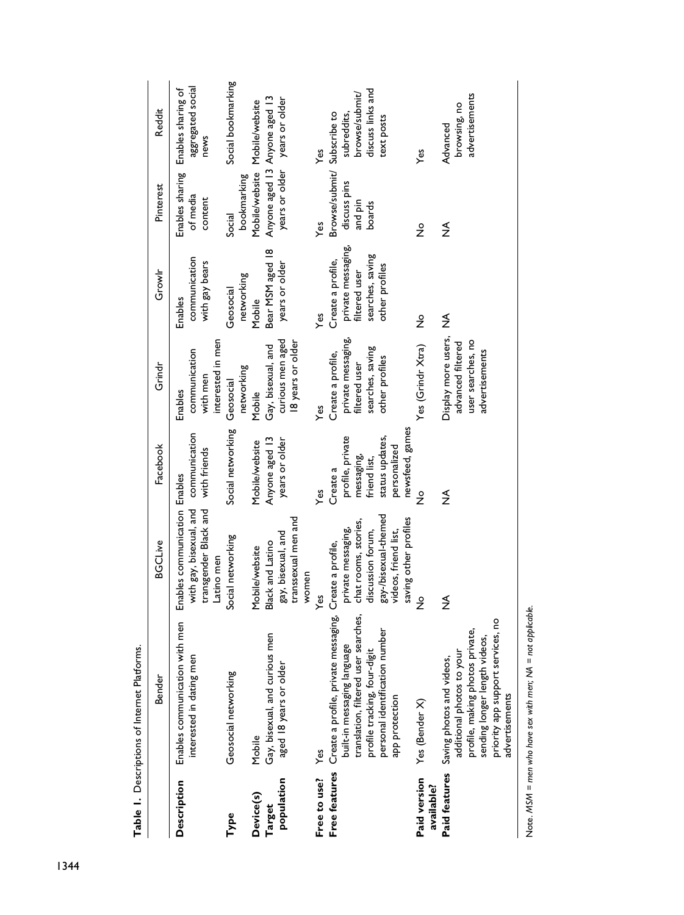|                            | Table I. Descriptions of Internet Platforms.                                                                                                                                                                  |                                                                                                                                                               |                                                                                                                  |                                                                                                |                                                                                                |                                                                  |                                                                  |
|----------------------------|---------------------------------------------------------------------------------------------------------------------------------------------------------------------------------------------------------------|---------------------------------------------------------------------------------------------------------------------------------------------------------------|------------------------------------------------------------------------------------------------------------------|------------------------------------------------------------------------------------------------|------------------------------------------------------------------------------------------------|------------------------------------------------------------------|------------------------------------------------------------------|
|                            | <b>Bender</b>                                                                                                                                                                                                 | <b>BGCLive</b>                                                                                                                                                | Facebook                                                                                                         | Grindr                                                                                         | Growlr                                                                                         | Pinterest                                                        | Reddit                                                           |
| <b>Description</b>         | Enables communication with men<br>interested in dating men                                                                                                                                                    | Enables communication Enables<br>with gay, bisexual, and<br>transgender Black and<br>Latino men                                                               | communication<br>with friends                                                                                    | interested in men<br>communication<br>with men<br>Enables                                      | communication<br>with gay bears<br>Enables                                                     | Enables sharing<br>of media<br>content                           | aggregated social<br>Enables sharing of<br>news                  |
| Type                       | Geosocial networking                                                                                                                                                                                          | Social networking                                                                                                                                             | Social networking                                                                                                | networking<br>Geosocial                                                                        | networking<br>Geosocial                                                                        | bookmarking<br>Social                                            | Social bookmarking                                               |
| Device(s)                  | Mobile                                                                                                                                                                                                        | Mobile/website                                                                                                                                                | Mobile/website                                                                                                   | Mobile                                                                                         | Mobile                                                                                         | Mobile/website Mobile/website                                    |                                                                  |
| population<br>Target       | Gay, bisexual, and curious men<br>aged 18 years or older                                                                                                                                                      | transsexual men and<br>gay, bisexual, and<br>Black and Latino<br>women                                                                                        | Anyone aged 13<br>years or older                                                                                 | curious men aged<br>18 years or older<br>Gay, bisexual, and                                    | Bear MSM aged 18<br>years or older                                                             | Anyone aged 13 Anyone aged 13                                    | years or older years or older                                    |
| Free to use?               | Yes                                                                                                                                                                                                           | Yes                                                                                                                                                           | yes                                                                                                              | Уes                                                                                            | yes                                                                                            | Yes                                                              | yes                                                              |
|                            | Free features Create a profile, private messaging,<br>translation, filtered user searches,<br>personal identification number<br>built-in messaging language<br>profile tracking, four-digit<br>app protection | gay-/bisexual-themed<br>saving other profiles<br>chat rooms, stories,<br>private messaging,<br>discussion forum,<br>videos, friend list,<br>Create a profile, | newsfeed, games<br>status updates,<br>profile, private<br>personalized<br>messaging,<br>friend list,<br>Create a | private messaging,<br>searches, saving<br>Create a profile,<br>other profiles<br>filtered user | private messaging,<br>searches, saving<br>Create a profile,<br>other profiles<br>filtered user | Browse/submit/ Subscribe to<br>discuss pins<br>and pin<br>boards | discuss links and<br>browse/submit/<br>subreddits,<br>text posts |
| Paid version<br>available? | Yes (Bender X)                                                                                                                                                                                                | $\overline{\mathbf{c}}$<br>Z                                                                                                                                  | $\frac{1}{2}$                                                                                                    | Yes (Grindr Xtra)                                                                              | ż                                                                                              | $\frac{1}{2}$                                                    | $Y$ es                                                           |
| Paid features              | priority app support services, no<br>profile, making photos private,<br>sending longer length videos,<br>additional photos to your<br>Saving photos and videos,<br>advertisements                             | ₹<br>z                                                                                                                                                        | ≸                                                                                                                | Display more users,<br>user searches, no<br>advanced filtered<br>advertisements                | ≨                                                                                              | ≸                                                                | advertisements<br>browsing, no<br>Advanced                       |

Note. MSM = men who have sex with men; NA = not applicable. Note. *MSM = men who have sex with men; NA = not applicable.*

 $\mathsf{I}$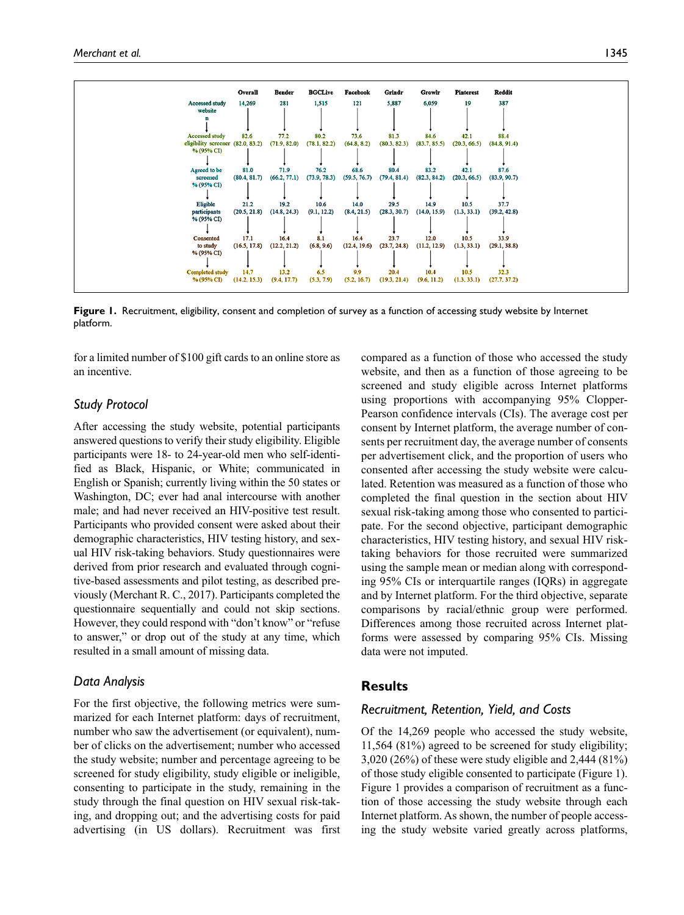

**Figure 1.** Recruitment, eligibility, consent and completion of survey as a function of accessing study website by Internet platform.

for a limited number of \$100 gift cards to an online store as an incentive.

#### *Study Protocol*

After accessing the study website, potential participants answered questions to verify their study eligibility. Eligible participants were 18- to 24-year-old men who self-identified as Black, Hispanic, or White; communicated in English or Spanish; currently living within the 50 states or Washington, DC; ever had anal intercourse with another male; and had never received an HIV-positive test result. Participants who provided consent were asked about their demographic characteristics, HIV testing history, and sexual HIV risk-taking behaviors. Study questionnaires were derived from prior research and evaluated through cognitive-based assessments and pilot testing, as described previously (Merchant R. C., 2017). Participants completed the questionnaire sequentially and could not skip sections. However, they could respond with "don't know" or "refuse to answer," or drop out of the study at any time, which resulted in a small amount of missing data.

#### *Data Analysis*

For the first objective, the following metrics were summarized for each Internet platform: days of recruitment, number who saw the advertisement (or equivalent), number of clicks on the advertisement; number who accessed the study website; number and percentage agreeing to be screened for study eligibility, study eligible or ineligible, consenting to participate in the study, remaining in the study through the final question on HIV sexual risk-taking, and dropping out; and the advertising costs for paid advertising (in US dollars). Recruitment was first compared as a function of those who accessed the study website, and then as a function of those agreeing to be screened and study eligible across Internet platforms using proportions with accompanying 95% Clopper-Pearson confidence intervals (CIs). The average cost per consent by Internet platform, the average number of consents per recruitment day, the average number of consents per advertisement click, and the proportion of users who consented after accessing the study website were calculated. Retention was measured as a function of those who completed the final question in the section about HIV sexual risk-taking among those who consented to participate. For the second objective, participant demographic characteristics, HIV testing history, and sexual HIV risktaking behaviors for those recruited were summarized using the sample mean or median along with corresponding 95% CIs or interquartile ranges (IQRs) in aggregate and by Internet platform. For the third objective, separate comparisons by racial/ethnic group were performed. Differences among those recruited across Internet platforms were assessed by comparing 95% CIs. Missing data were not imputed.

#### **Results**

#### *Recruitment, Retention, Yield, and Costs*

Of the 14,269 people who accessed the study website, 11,564 (81%) agreed to be screened for study eligibility; 3,020 (26%) of these were study eligible and 2,444 (81%) of those study eligible consented to participate (Figure 1). Figure 1 provides a comparison of recruitment as a function of those accessing the study website through each Internet platform. As shown, the number of people accessing the study website varied greatly across platforms,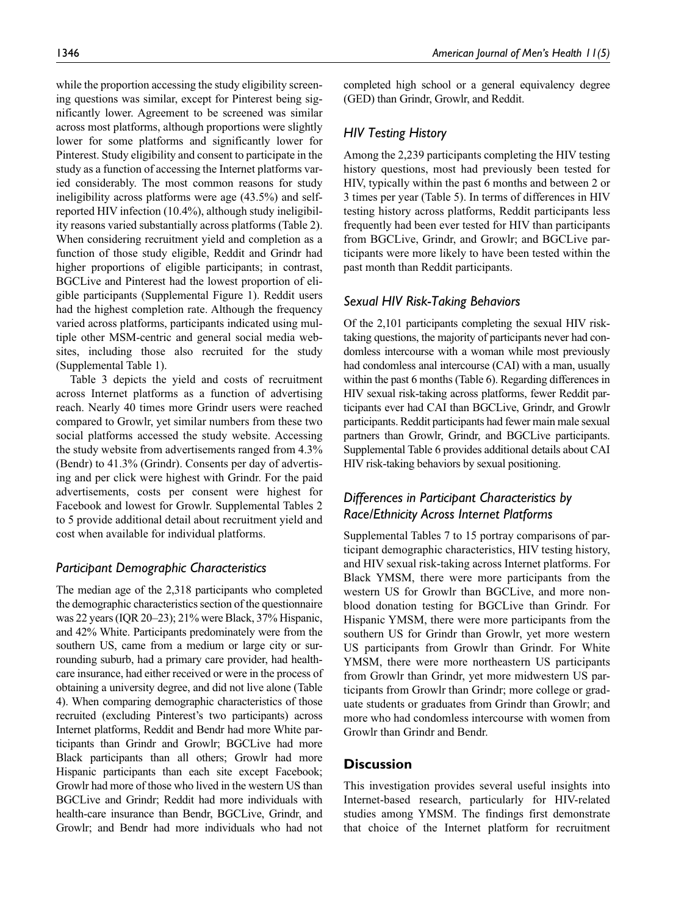while the proportion accessing the study eligibility screening questions was similar, except for Pinterest being significantly lower. Agreement to be screened was similar across most platforms, although proportions were slightly lower for some platforms and significantly lower for Pinterest. Study eligibility and consent to participate in the study as a function of accessing the Internet platforms varied considerably. The most common reasons for study ineligibility across platforms were age (43.5%) and selfreported HIV infection (10.4%), although study ineligibility reasons varied substantially across platforms (Table 2). When considering recruitment yield and completion as a function of those study eligible, Reddit and Grindr had higher proportions of eligible participants; in contrast, BGCLive and Pinterest had the lowest proportion of eligible participants (Supplemental Figure 1). Reddit users had the highest completion rate. Although the frequency varied across platforms, participants indicated using multiple other MSM-centric and general social media websites, including those also recruited for the study (Supplemental Table 1).

Table 3 depicts the yield and costs of recruitment across Internet platforms as a function of advertising reach. Nearly 40 times more Grindr users were reached compared to Growlr, yet similar numbers from these two social platforms accessed the study website. Accessing the study website from advertisements ranged from 4.3% (Bendr) to 41.3% (Grindr). Consents per day of advertising and per click were highest with Grindr. For the paid advertisements, costs per consent were highest for Facebook and lowest for Growlr. Supplemental Tables 2 to 5 provide additional detail about recruitment yield and cost when available for individual platforms.

#### *Participant Demographic Characteristics*

The median age of the 2,318 participants who completed the demographic characteristics section of the questionnaire was 22 years (IQR 20–23); 21% were Black, 37% Hispanic, and 42% White. Participants predominately were from the southern US, came from a medium or large city or surrounding suburb, had a primary care provider, had healthcare insurance, had either received or were in the process of obtaining a university degree, and did not live alone (Table 4). When comparing demographic characteristics of those recruited (excluding Pinterest's two participants) across Internet platforms, Reddit and Bendr had more White participants than Grindr and Growlr; BGCLive had more Black participants than all others; Growlr had more Hispanic participants than each site except Facebook; Growlr had more of those who lived in the western US than BGCLive and Grindr; Reddit had more individuals with health-care insurance than Bendr, BGCLive, Grindr, and Growlr; and Bendr had more individuals who had not completed high school or a general equivalency degree (GED) than Grindr, Growlr, and Reddit.

#### *HIV Testing History*

Among the 2,239 participants completing the HIV testing history questions, most had previously been tested for HIV, typically within the past 6 months and between 2 or 3 times per year (Table 5). In terms of differences in HIV testing history across platforms, Reddit participants less frequently had been ever tested for HIV than participants from BGCLive, Grindr, and Growlr; and BGCLive participants were more likely to have been tested within the past month than Reddit participants.

#### *Sexual HIV Risk-Taking Behaviors*

Of the 2,101 participants completing the sexual HIV risktaking questions, the majority of participants never had condomless intercourse with a woman while most previously had condomless anal intercourse (CAI) with a man, usually within the past 6 months (Table 6). Regarding differences in HIV sexual risk-taking across platforms, fewer Reddit participants ever had CAI than BGCLive, Grindr, and Growlr participants. Reddit participants had fewer main male sexual partners than Growlr, Grindr, and BGCLive participants. Supplemental Table 6 provides additional details about CAI HIV risk-taking behaviors by sexual positioning.

### *Differences in Participant Characteristics by Race/Ethnicity Across Internet Platforms*

Supplemental Tables 7 to 15 portray comparisons of participant demographic characteristics, HIV testing history, and HIV sexual risk-taking across Internet platforms. For Black YMSM, there were more participants from the western US for Growlr than BGCLive, and more nonblood donation testing for BGCLive than Grindr. For Hispanic YMSM, there were more participants from the southern US for Grindr than Growlr, yet more western US participants from Growlr than Grindr. For White YMSM, there were more northeastern US participants from Growlr than Grindr, yet more midwestern US participants from Growlr than Grindr; more college or graduate students or graduates from Grindr than Growlr; and more who had condomless intercourse with women from Growlr than Grindr and Bendr.

#### **Discussion**

This investigation provides several useful insights into Internet-based research, particularly for HIV-related studies among YMSM. The findings first demonstrate that choice of the Internet platform for recruitment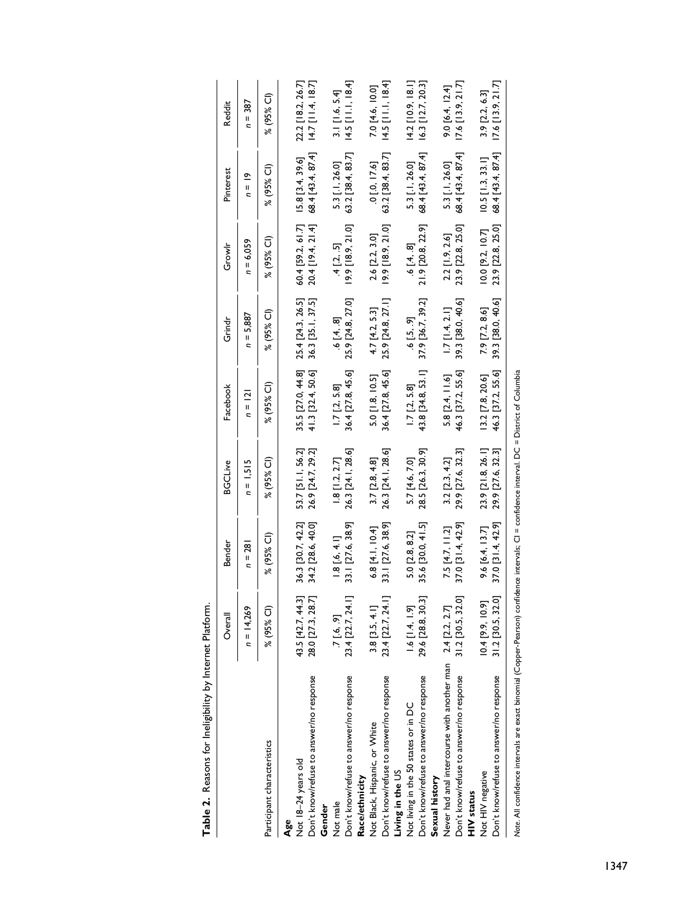| Table 2. Reasons for Ineligibility by Internet Platform.     |                            |                   |                    |                   |                   |                       |                   |                              |
|--------------------------------------------------------------|----------------------------|-------------------|--------------------|-------------------|-------------------|-----------------------|-------------------|------------------------------|
|                                                              | Overall                    | Bender            | <b>BGCLive</b>     | Facebook          | Grindr            | Growlr                | Pinterest         | <b>Reddit</b>                |
|                                                              | $n = 14,269$               | $n = 28$          | $= 1,515$<br>Ξ     | $n = 121$         | $n = 5,887$       | $n = 6,059$           | $n = 19$          | $n = 387$                    |
| Participant characteristics                                  | % (95% CI)                 | % (95% Cl)        | % (95% CI)         | % (95% Cl)        | % (95% CI)        | % (95% CI)            | % (95% CI)        | $\widehat{\sigma}$<br>% (95% |
| Not 18-24 years old<br>Age                                   | 43.5 [42.7, 44.3]          | 36.3 [30.7, 42.2] | 53.7 [51.1, 56.2]  | 35.5 [27.0, 44.8] | 25.4 [24.3, 26.5] | 60.4 [59.2, 61.7]     | 15.8 [3.4, 39.6]  | 22.2 [18.2, 26.7]            |
| Don't know/refuse to answer/no response                      | 28.0 [27.3, 28.7]          | 34.2 [28.6, 40.0] | 26.9 [24.7, 29.2]  | 41.3 [32.4, 50.6] | 36.3 [35.1, 37.5] | 20.4 [19.4, 21.4]     | 68.4 [43.4, 87.4] | 14.7 [11.4, 18.7]            |
| Gender                                                       |                            |                   |                    |                   |                   |                       |                   |                              |
| Not male                                                     | 7 [6, .9]                  | $1.8$ [.6, 4.1]   | $1.8$ [1.2, 2.7]   | $1.7$ [.2, 5.8]   | .6[4.8]           | .4[.2, .5]            | 5.3 [.I, 26.0]    | $3.1$ [1.6, 5.4]             |
| Don't know/refuse to answer/no response                      | 23.4 [22.7, 24.]           | 33.1 [27.6, 38.9] | 26.3 [24.1, 28.6]  | 36.4 [27.8, 45.6] | 25.9 [24.8, 27.0] | [9.9 [18.9, 21.0]     | 63.2 [38.4, 83.7] | $14.5$ [11.1, 18.4]          |
| Race/ethnicity                                               |                            |                   |                    |                   |                   |                       |                   |                              |
| Not Black, Hispanic, or White                                | $3.8$ [3.5, 4.1]           | 6.8 [4.1, 10.4]   | $3.7$ $[2.8, 4.8]$ | $5.0$ [1.8, 10.5] | $4.7$ [4.2, 5.3]  | 2.6 [2.2, 3.0]        | $0$ [.0, 17.6]    | 7.0 [4.6, 10.0]              |
| Don't know/refuse to answer/no response                      | 23.4 [22.7, 24.1]          | 33.1 [27.6, 38.9] | 26.3 [24.1, 28.6]  | 36.4 [27.8, 45.6] | 25.9 [24.8, 27.1] | [9.9 [18.9, 21.0]     | 63.2 [38.4, 83.7] | $14.5$ $[11.1, 18.4]$        |
| Living in the US                                             |                            |                   |                    |                   |                   |                       |                   |                              |
| Not living in the 50 states or in DC                         | $1.6$ [ $1.4$ , $1.9$ ]    | 5.0 [2.8, 8.2]    | 5.7 [4.6, 7.0]     | $1.7$ [.2, 5.8]   | $6$ [.5, .9]      | $.6$ [.4, .8]         | 5.3 [.I, 26.0]    | $14.2$ [10.9, 18.1]          |
| Don't know/refuse to answer/no response                      | 29.6 [28.8, 30.3]          | 35.6 [30.0, 41.5] | 28.5 [26.3, 30.9]  | 43.8 [34.8, 53.1] | 37.9 [36.7, 39.2] | 21.9 [20.8, 22.9]     | 68.4 [43.4, 87.4] | $16.3$ [12.7, 20.3]          |
| Sexual history                                               |                            |                   |                    |                   |                   |                       |                   |                              |
| Never had anal intercourse with another man 2.4 [2.2, 2.7]   |                            | 7.5 [4.7, 11.2]   | $3.2$ [2.3, 4.2]   | 5.8 [2.4, 11.6]   | $1.7$ [1.4, 2.1]  | 2.2 [1.9, 2.6]        | 5.3 [.I, 26.0]    | 9.0 [6.4, 12.4]              |
| Don't know/refuse to answer/no response<br><b>HIV</b> status | 31.2 [30.5, 32.0]          | 37.0 [31.4, 42.9] | 29.9 [27.6, 32.3]  | 46.3 [37.2, 55.6] | 39.3 [38.0, 40.6] | 23.9 [22.8, 25.0]     | 68.4 [43.4, 87.4] | $17.6$ [13.9, 21.7]          |
| Not HIV negative                                             | $10.4$ [9.9, 10.9]         | 9.6 [6.4, 13.7]   | 23.9 [21.8, 26.1]  | 13.2 [7.8, 20.6]  | 7.9 [7.2, 8.6]    | $10.0$ [9.2, $10.7$ ] | [0.5 [1.3, 33.1]  | 3.9 [2.2, 6.3]               |
| Don't know/refuse to answer/no response                      | ఠా<br>$31.2$ [ $30.5, 32.$ | 37.0 [31.4, 42.9] | 29.9 [27.6, 32.3]  | 46.3 [37.2, 55.6] | 39.3 [38.0, 40.6] | 23.9 [22.8, 25.0]     | 68.4 [43.4, 87.4] | $17.6$ [13.9, 21.7]          |
|                                                              |                            |                   |                    |                   |                   |                       |                   |                              |

Note. All confidence intervals are exact binomial (Copper-Pearson) confidence intervals; CI = confidence interval. DC = District of Columbia *Note*. All confidence intervals are exact binomial (Copper-Pearson) confidence intervals; CI = confidence interval. DC = District of Columbia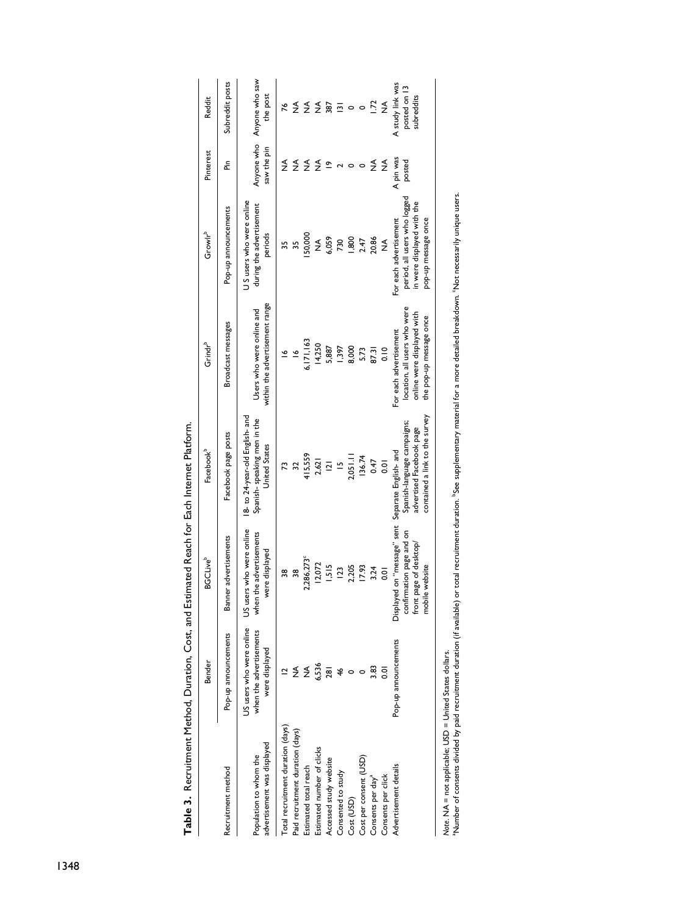|                                                       | Bender                                    | <b>BGCLive</b>                                                                                                            | Facebook <sup>b</sup>                                                                     | Grindr <sup>b</sup>                                                                                             | Growlr <sup>b</sup>                                                                                         | Pinterest           | <b>Reddit</b>                                  |
|-------------------------------------------------------|-------------------------------------------|---------------------------------------------------------------------------------------------------------------------------|-------------------------------------------------------------------------------------------|-----------------------------------------------------------------------------------------------------------------|-------------------------------------------------------------------------------------------------------------|---------------------|------------------------------------------------|
| Recruitment method                                    | Pop-up announcements                      | Banner advertisements                                                                                                     | Facebook page posts                                                                       | Broadcast messages                                                                                              | Pop-up announcements                                                                                        | ع<br>ه              | Subreddit posts                                |
| advertisement was displayed<br>Population to whom the | when the advertisements<br>were displayed | US users who were online US users who were online<br>when the advertisements<br>were displayed                            | 18- to 24-year-old English- and<br>Spanish-speaking men in the<br>United States           | within the advertisement range<br>Users who were online and                                                     | U S users who were online<br>during the advertisement<br>periods                                            | saw the pin         | Anyone who Anyone who saw<br>the post          |
| Total recruitment duration (days)                     | $\tilde{c}$                               | 38                                                                                                                        |                                                                                           |                                                                                                                 | 35                                                                                                          | ≸                   | 76                                             |
| Paid recruitment duration (days)                      | ≸                                         | 38                                                                                                                        | 32                                                                                        | $\tilde{=}$                                                                                                     |                                                                                                             | $\frac{1}{2}$       | $\frac{1}{2}$                                  |
| Estimated total reach                                 | $\frac{4}{2}$                             | 2,286,273                                                                                                                 | 415,559                                                                                   | 6,171,163                                                                                                       | 50,000                                                                                                      | $\frac{1}{2}$       | $\frac{1}{2}$                                  |
| Estimated number of clicks                            | 6,536                                     | 12,072                                                                                                                    | 2,621                                                                                     | 14,250                                                                                                          | ≸                                                                                                           | ≸                   | $\frac{1}{2}$                                  |
| Accessed study website                                | 281                                       | $\frac{1515}{2}$                                                                                                          | $\overline{2}$                                                                            | 5,887                                                                                                           | 6,059                                                                                                       | ₾                   | 387                                            |
| Consented to study                                    | 46                                        | 123                                                                                                                       | 므                                                                                         | 1,397                                                                                                           | 730                                                                                                         |                     | 5                                              |
| Cost (USD)                                            |                                           | 2,205                                                                                                                     | 2,051.1                                                                                   | 8,000                                                                                                           | 1,800                                                                                                       |                     |                                                |
| Cost per consent (USD)                                |                                           | <b>17.93</b>                                                                                                              | 136.74                                                                                    | 5.73                                                                                                            | 2.47                                                                                                        |                     |                                                |
| Consents per day <sup>a</sup>                         | 3.83                                      | 3.24                                                                                                                      | 0.47                                                                                      | 87.31                                                                                                           | 20.86                                                                                                       | ≸                   | $\overline{2}$                                 |
| Consents per click                                    | ទី                                        | ៑                                                                                                                         | $\overline{0}$                                                                            | $\frac{1}{2}$                                                                                                   | ≸                                                                                                           | ≸                   | ≸                                              |
| Advertisement details                                 | Pop-up announcements                      | Displayed on "message" sent Separate English- and<br>confirmation page and on<br>front page of desktop/<br>mobile website | contained a link to the survey<br>Spanish-language campaigns;<br>advertised Facebook page | location, all users who were<br>online were displayed with<br>the pop-up message once<br>For each advertisement | period, all users who logged<br>in were displayed with the<br>pop-up message once<br>For each advertisement | A pin was<br>posted | A study link was<br>posted on 13<br>subreddits |
|                                                       |                                           |                                                                                                                           |                                                                                           |                                                                                                                 |                                                                                                             |                     |                                                |

Table 3. Recruitment Method, Duration, Cost, and Estimated Reach for Each Internet Platform. **Table 3.** Recruitment Method, Duration, Cost, and Estimated Reach for Each Internet Platform.

*Note*. NA = not applicable; USD = United States dollars.

Note. NA = not applicable; USD = United States dollars.<br>"Number of consents divided by paid recruitment duration (if available) or total recruitment duration. "See supplementary material for a more detailed breakdown. 'Not aNumber of consents divided by paid recruitment duration (if available) or total recruitment duration. bSee supplementary material for a more detailed breakdown. cNot necessarily unique users.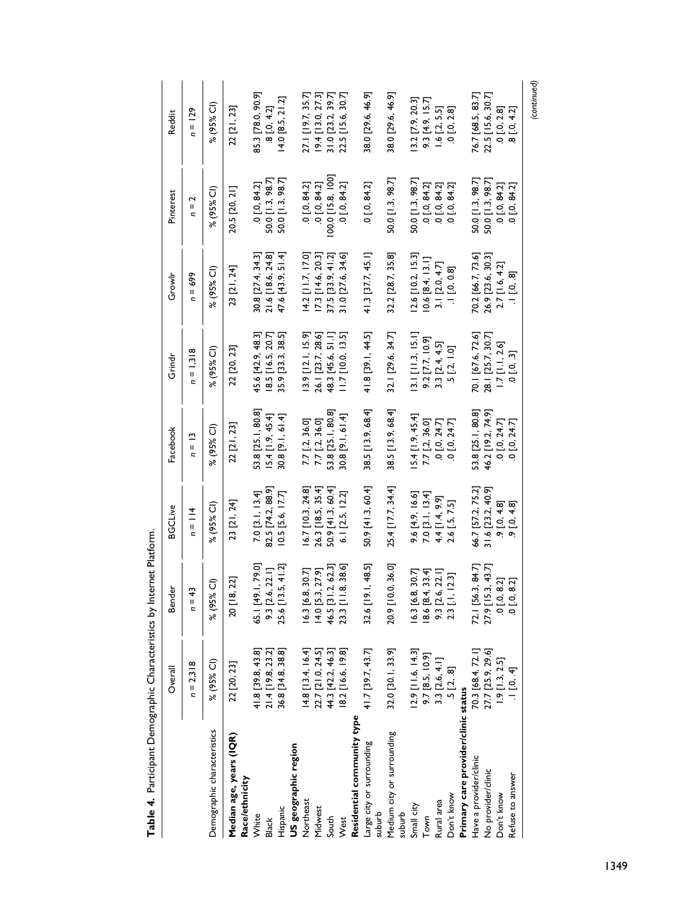|                                           | Overall                             | Bender                        | <b>BGCLive</b>     | Facebook           | ਨ<br>ਹਵਾਲੇ<br>ਹਵਾਲੇ   | Growlr                | Pinterest          | Reddit              |
|-------------------------------------------|-------------------------------------|-------------------------------|--------------------|--------------------|-----------------------|-----------------------|--------------------|---------------------|
|                                           | $n = 2,318$                         | $n = 43$                      | $n = 114$          | $n = 13$           | $n = 1,318$           | $n = 699$             | 2<br>$\frac{1}{2}$ | $n = 129$           |
| Demographic characteristics               | % (95% CI)                          | % (95% CI)                    | $% (95%$ Cl)       | % (95% Cl)         | % (95% CI)            | $%$ (95% Cl)          | % (95% Cl)         | % (95% Cl)          |
| Median age, years (IQR)<br>Race/ethnicity | 22 [20, 23]                         | 20 [18, 22]                   | 23 [21, 24]        | 22 [21, 23]        | 22 [20, 23]           | 23 [21, 24]           | 20.5 [20, 21]      | 22 [21, 23]         |
| White                                     | 41.8 [39.8, 43.8]                   | 49.1.79.01<br>65.1            | $7.0$ [3.1, 13.4]  | 53.8 [25.1, 80.8]  | 45.6 [42.9, 48.3]     | 30.8 [27.4, 34.3]     | $0$ [.0, 84.2]     | 85.3 [78.0, 90.9]   |
| <b>Black</b>                              | 21.4 [19.8, 23.2]                   | [2.6, 22.1]                   | 82.5 [74.2, 88.9]  | $15.4$ [1.9, 45.4] | $18.5$ [16.5, 20.7]   | 21.6 [18.6, 24.8]     | 50.0 [1.3, 98.7]   | $.8$ [.0, 4.2]      |
| Hispanic                                  | 36.8 [34.8, 38.8]                   | [13.5, 41.2]<br>25.6          | $10.5$ [5.6, 17.7] | 30.8 [9.1, 61.4]   | 35.9 [33.3, 38.5]     | 47.6 [43.9, 51.4]     | 50.0 [1.3, 98.7]   | $14.0$ [8.5, 21.2]  |
| US geographic region                      |                                     |                               |                    |                    |                       |                       |                    |                     |
| Northeast                                 | 4.8 [13.4, 16.4]                    | [6.8, 30.7]<br>16.3           | 16.7 [10.3, 24.8]  | $7.7$ [.2, 36.0]   | [3.9 [12.1, 15.9]     | 14.2 [11.7, 17.0]     | $0$ [.0, 84.2]     | 27.1 [19.7, 35.7]   |
| Midwest                                   | 22.7 [21.0, 24.5]                   | [5.3, 27.9]<br>14.0           | 26.3 [18.5, 35.4]  | 7.7 [.2, 36.0]     | 26.1 [23.7, 28.6]     | 17.3 [14.6, 20.3]     | $0$ [.0, 84.2]     | $19.4$ [13.0, 27.3] |
| South                                     | 44.3 [42.2, 46.3]                   | [31.2, 62.3]<br>46.5          | 50.9 [41.3, 60.4]  | 53.8 [25.1, 80.8]  | 48.3 [45.6, 51.1]     | 37.5 [33.9, 41.2]     | 100.0 [15.8, 100]  | $31.0$ [23.2, 39.7] |
| West                                      | 8.2 [16.6, 19.8]                    | [11.8, 38.6]<br>23.3          | 6.1 [2.5, 12.2]    | 30.8 [9.1, 61.4]   | $11.7$ $[10.0, 13.5]$ | 31.0 [27.6, 34.6]     | $0$ [0, 84.2]      | 22.5 [15.6, 30.7]   |
| Residential community type                |                                     |                               |                    |                    |                       |                       |                    |                     |
| Large city or surrounding<br>suburb       | 41.7 [39.7, 43.7]                   | [19.1, 48.5]<br>32.6          | 50.9 [41.3, 60.4]  | 38.5 [13.9, 68.4]  | 41.8 [39.1, 44.5]     | 41.3 [37.7, 45.1]     | $0$ [.0, 84.2]     | 38.0 [29.6, 46.9]   |
| Medium city or surrounding<br>suburb      | 32.0 [30.1, 33.9]                   | [10.0, 36.0]<br>20.9          | 25.4 [17.7, 34.4]  | 38.5 [13.9, 68.4]  | 32.1 [29.6, 34.7]     | 32.2 [28.7, 35.8]     | 50.0 [1.3, 98.7]   | 38.0 [29.6, 46.9]   |
| Small city                                | $12.9$ [11.6, 14.3]                 | [6.8, 30.7]<br>$\frac{63}{2}$ | 9.6 [4.9, 16.6]    | 5.4 [1.9, 45.4]    | $3.1$ [11.3, 15.1]    | $12.6$ $[10.2, 15.3]$ | 50.0 [1.3, 98.7]   | 13.2 [7.9, 20.3]    |
| Town                                      | 9.7 [8.5, 10.9]                     | 18.6 [8.4, 33.4]              | $7.0$ [3.1, 13.4]  | 7.7 [.2, 36.0]     | 9.2 [7.7, 10.9]       | $10.6$ $[8.4, 13.1]$  | $0$ [.0, 84.2]     | 9.3 [4.9, 15.7]     |
| Rural area                                | 3.3 [2.6, 4.1]                      | [2.6, 22.]<br>9.3             | 4.4 [1.4, 9.9]     | $0$ [.0, 24.7]     | $3.3$ [2.4, 4.5]      | 3.1 [2.0, 4.7]        | $.0$ [.0, 84.2]    | $1.6$ [.2, 5.5]     |
| Don't know                                | .5 [2, .8]                          | [.I. 12.3]<br>2.3             | 2.6 [.5, 7.5]      | $0$ [.0, 24.7]     | $5$ [.2, $1.0$ ]      | 1 [0, 0.8]            | [0, 84.2]          | 0.0, 2.8            |
| Primary care provider/clinic status       |                                     |                               |                    |                    |                       |                       |                    |                     |
| Have a provider/clinic                    | 70.3 [68.4, 72.1]                   | [56.3, 84.7]<br>72. I         | 66.7 [57.2, 75.2]  | 53.8 [25.1, 80.8]  | 70.1 [67.6, 72.6]     | 70.2 [66.7, 73.6]     | 50.0 [1.3, 98.7]   | 76.7 [68.5, 83.7]   |
| No provider/clinic                        | 27.7 [25.9, 29.6]<br>1.9 [1.3, 2.5] | [15.3, 43.7]<br>27.9          | 31.6 [23.2, 40.9]  | 46.2 [19.2, 74.9]  | 28.1 [25.7, 30.7]     | 26.9 [23.6, 30.3]     | 50.0 [1.3, 98.7]   | 22.5 [15.6, 30.7]   |
| Don't know                                |                                     | [0, 8.2]<br>i o               | .9 [0, 4.8]        | $0$ [.0, 24.7]     | $1.7$ [1.1, 2.6]      | 2.7 [1.6, 4.2]        | $0$ [.0, 84.2]     | $.0$ [.0, 2.8]      |
| Refuse to answer                          | न<br>-<br>-                         | [0.87]<br>Q                   | .9 [0, 4.8]        | $0$ [.0, 24.7]     | [3, 2]<br>با          | .<br>1 [.0.3]<br>- .  | $0$ [.0, 84.2]     | $.8$ [.0, 4.2]      |
|                                           |                                     |                               |                    |                    |                       |                       |                    |                     |

Table 4. Participant Demographic Characteristics by Internet Platform. **Table 4.** Participant Demographic Characteristics by Internet Platform.

1349

*(continued)*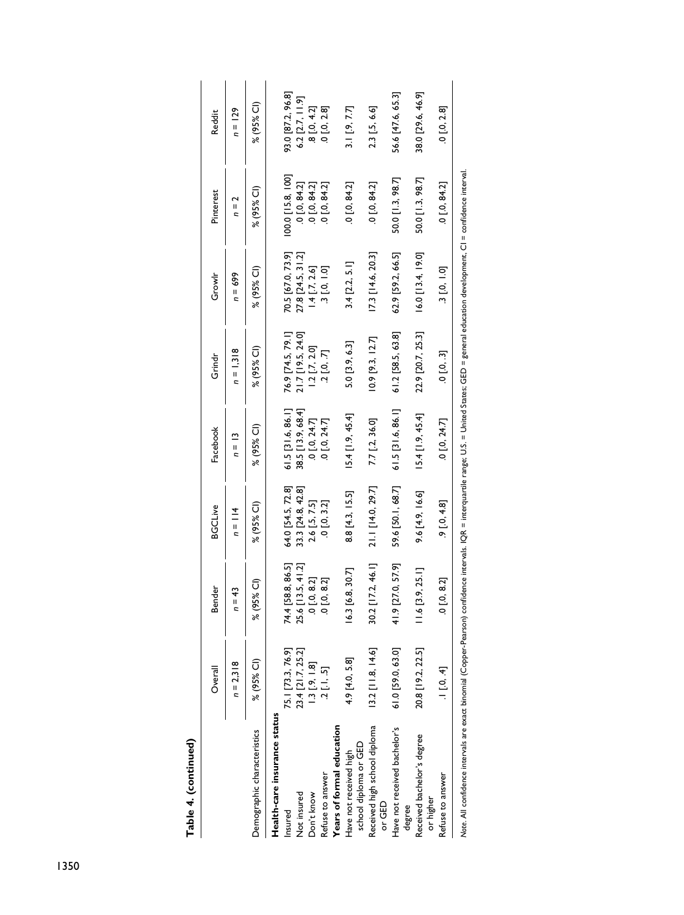|                                                                                                                                                                                                         | Overall             | nder<br>යි                   | <b>BGCLive</b>    | Facebook            | Grindr             | Growlr            | Pinterest        | Reddit                   |
|---------------------------------------------------------------------------------------------------------------------------------------------------------------------------------------------------------|---------------------|------------------------------|-------------------|---------------------|--------------------|-------------------|------------------|--------------------------|
|                                                                                                                                                                                                         | $n = 2,318$         | $n = 43$                     | $n = 114$         | $n = 13$            | $n = 1,318$        | $n = 699$         | $n = 2$          | $n = 129$                |
| Demographic characteristics                                                                                                                                                                             | % (95% CI)          | 5% Cl)<br>% (95              | % (95% Cl)        | % (95% CI)          | % (95% Cl)         | % (95% Cl)        | % (95% CI)       | % (95% CI)               |
| Health-care insurance status                                                                                                                                                                            |                     |                              |                   |                     |                    |                   |                  |                          |
| Insured                                                                                                                                                                                                 | 75.1 [73.3, 76.9]   | 58.8, 86.5]<br>74.4          | 64.0 [54.5, 72.8] | $61.5$ [31.6, 86.1] | 76.9 [74.5, 79.1]  | 70.5 [67.0, 73.9] | 00.0 [15.8, 100] | 93.0 [87.2, 96.8]        |
| Not insured                                                                                                                                                                                             | 23.4 [21.7, 25.2]   | [3.5, 41.2]<br>25.6          | 33.3 [24.8, 42.8] | 38.5 [13.9, 68.4]   | 21.7 [19.5, 24.0]  | 27.8 [24.5, 31.2] | $0$ [.0, 84.2]   | $6.2$ [ $2.7$ , $11.9$ ] |
| Don't know                                                                                                                                                                                              | $1.3$ $[.9, 1.8]$   | 0, 8.2<br>$\overline{\circ}$ | $2.6$ [.5, 7.5]   | $0$ [.0, 24.7]      | $1.2$ [.7, $2.0$ ] | $1.4$ [.7, 2.6]   | $0$ [.0, 84.2]   | $8$ [.0, 4.2]            |
| Refuse to answer                                                                                                                                                                                        | $.2$ [.I, .5]       | 0, 8.2<br>ē                  | $0$ [0, 3.2]      | $0$ [.0, 24.7]      | $.2$ [ $.0, .7$ ]  | 3 [0, 1.0]        | $0$ [.0, 84.2]   | 0 [0, 2.8]               |
| Years of formal education                                                                                                                                                                               |                     |                              |                   |                     |                    |                   |                  |                          |
| Have not received high                                                                                                                                                                                  | 4.9 [4.0, 5.8]      | 6.8, 30.7<br>16.3            | 8.8 [4.3, 15.5]   | [5.4 [1.9, 45.4]    | 5.0 [3.9, 6.3]     | $3.4$ [2.2, 5.1]  | $0$ [.0, 84.2]   | $3.1$ [.9, 7.7]          |
| school diploma or GED                                                                                                                                                                                   |                     |                              |                   |                     |                    |                   |                  |                          |
| Received high school diploma<br>or GED                                                                                                                                                                  | $13.2$ [11.8, 14.6] | [7.2, 46.1]<br>30.2          | 21.1 [14.0, 29.7] | 7.7 [2, 36.0]       | [0.9 [9.3, 12.7]   | 17.3 [14.6, 20.3] | $0$ [0, 84.2]    | $2.3$ [.5, 6.6]          |
| Have not received bachelor's                                                                                                                                                                            | 61.0 [59.0, 63.0]   | [27.0, 57.9]<br>1.9          | 59.6 [50.1, 68.7] | $61.5$ [31.6, 86.1] | 61.2 [58.5, 63.8]  | 62.9 [59.2, 66.5] | 50.0 [1.3, 98.7] | 56.6 [47.6, 65.3]        |
| degree                                                                                                                                                                                                  |                     |                              |                   |                     |                    |                   |                  |                          |
| Received bachelor's degree                                                                                                                                                                              | 20.8 [19.2, 22.5]   | 3.9, 25.1]<br>161            | 9.6 [4.9, 16.6]   | [5.4 [1.9, 45.4]    | 22.9 [20.7, 25.3]  | 6.0 [13.4, 19.0]  | 50.0 [1.3, 98.7] | 38.0 [29.6, 46.9]        |
| or higher                                                                                                                                                                                               |                     |                              |                   |                     |                    |                   |                  |                          |
| Refuse to answer                                                                                                                                                                                        | $-1$ [.0, 4]        | 0, 8.2]<br>5                 | $9$ [.0, 4.8]     | $0$ [ $0, 24$ .7]   | 0 [0, 3]           | $3$ [.0, 1.0]     | $0$ [0, 84.2]    | [.0, 2.8]                |
| Note. All confidence intervals are exact binomial (Copper-Pearson) confidence intervals. IQR = interquartile range; U.S. = United States; GED = general education development, CI = confidence interval |                     |                              |                   |                     |                    |                   |                  |                          |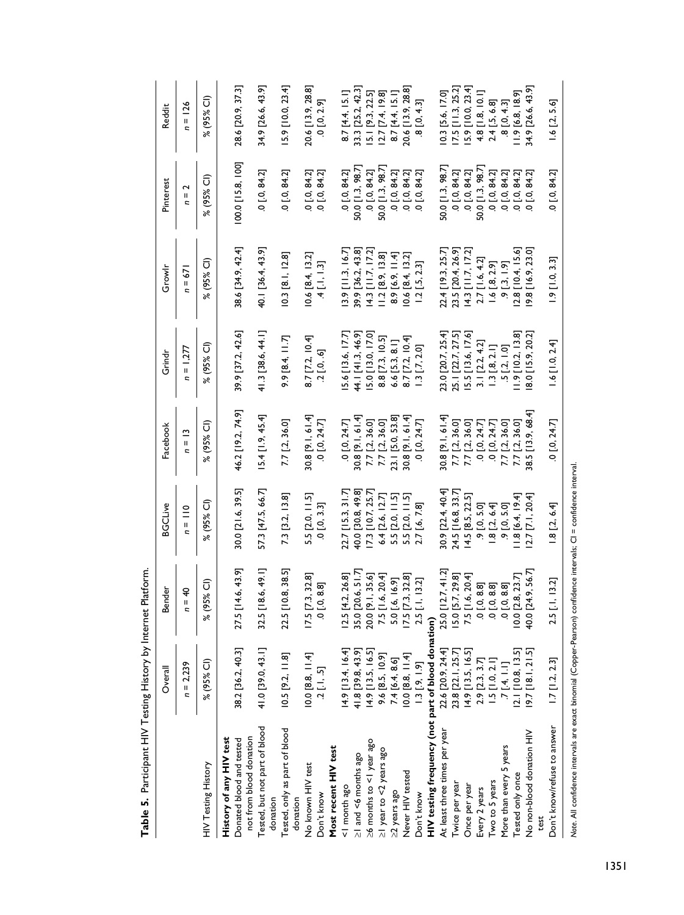|                                                                                | Overall                                               | <b>Bender</b>                                                                                                                                                                | <b>BGCLive</b>                   | Facebook                           | Grindr                          | Growlr                                 | Pinterest                      | Reddit                             |
|--------------------------------------------------------------------------------|-------------------------------------------------------|------------------------------------------------------------------------------------------------------------------------------------------------------------------------------|----------------------------------|------------------------------------|---------------------------------|----------------------------------------|--------------------------------|------------------------------------|
|                                                                                | $n = 2,239$                                           | $n = 40$                                                                                                                                                                     | $n = 110$                        | $n = 13$                           | $n = 1,277$                     | $n = 671$                              | $n=2$                          | $n = 126$                          |
| HIV Testing History                                                            | % (95% CI)                                            | % (95% CI)                                                                                                                                                                   | % (95% CI)                       | % (95% CI)                         | % (95% CI)                      | % (95% CI)                             | % (95% CI)                     | % (95% CI)                         |
| not from blood donation<br>History of any HIV test<br>Donated blood and tested | 38.2 [36.2, 40.3]                                     | 4.6, 43.9]<br>27.5 [I                                                                                                                                                        | 30.0 [21.6, 39.5]                | 46.2 [19.2, 74.9]                  | 39.9 [37.2, 42.6]               | 38.6 [34.9, 42.4]                      | 100.0 [15.8, 100]              | 28.6 [20.9, 37.3]                  |
| Tested, but not part of blood<br>donation                                      | 41.0 [39.0, 43.1]                                     | 8.6, 49.1]<br>32.5 [I                                                                                                                                                        | 57.3 [47.5, 66.7]                | $15.4$ [ $1.9, 45.4$ ]             | 41.3 [38.6, 44.1]               | 40.1 [36.4, 43.9]                      | $0$ [.0, 84.2]                 | 34.9 [26.6, 43.9]                  |
| Tested, only as part of blood<br>donation                                      | [0.5 [9.2, 11.8]                                      | 22.5 [10.8, 38.5]                                                                                                                                                            | 7.3 [3.2, 13.8]                  | 7.7 [.2, 36.0]                     | 9.9 [8.4, 11.7]                 | [0.3 [8.1, 12.8]                       | .0 [0.84.2]                    | 15.9 [10.0, 23.4]                  |
| No known HIV test<br>Don't know                                                | $10.0$ [8.8, $11.4$ ]<br>$2$ [.I, . $5$ ]             | $17.5$ $[7.3, 32.8]$<br>.0 [0.8.8]                                                                                                                                           | 5.5 [2.0, 11.5]<br>$0$ [.0, 3.3] | 30.8 [9.1, 61.4]<br>$0$ [.0, 24.7] | 8.7 [7.2, 10.4]<br>$2$ [.0, .6] | $10.6$ $[8.4, 13.2]$<br>$.4$ [.I, 1.3] | [0, 0, 84.2]<br>$0$ [.0, 84.2] | 20.6 [13.9, 28.8]<br>$0$ [.0, 2.9] |
| Most recent HIV test                                                           |                                                       |                                                                                                                                                                              |                                  |                                    |                                 |                                        |                                |                                    |
| <1 month ago                                                                   | $14.9$ [13.4, 16.4]                                   | 2, 26.8<br>$12.5$ [4.                                                                                                                                                        | 22.7 [15.3, 31.7]                | $0$ [.0, 24.7]                     | 15.6 [13.6, 17.7]               | $13.9$ [11.3, 16.7]                    | $0$ [.0, 84.2]                 | $8.7$ [4.4, 15.1]                  |
| $\geq$ and <6 months ago                                                       | 41.8 [39.8, 43.9]                                     | 35.0 [20.6, 51.7]                                                                                                                                                            | 40.0 [30.8, 49.8]                | 30.8 [9.1, 61.4]                   | 44.1 [41.3, 46.9]               | 39.9 [36.2, 43.8]                      | 50.0 [1.3, 98.7]               | 33.3 [25.2, 42.3]                  |
| ≥6 months to <1 year ago                                                       | [4.9 [13.5, 16.5]                                     | 20.0 [9.1, 35.6]                                                                                                                                                             | 17.3 [10.7, 25.7]                | 7.7 [.2, 36.0]                     | 15.0 [13.0, 17.0]               | 4.3 [    .7,   7.2]                    | [0, 84.2]                      | 15.1 [9.3, 22.5]                   |
| $\geq$   year to <2 years ago                                                  | 9.6 [8.5, 10.9]<br>7.4 [6.4, 8.6]<br>10.0 [8.8, 11.4] | .6, 20.4<br>7.5 [I                                                                                                                                                           | 6.4 [2.6, 12.7]                  | 7.7 [.2, 36.0]                     | 8.8 [7.3, 10.5]                 | 11.2 [8.9, 13.8]                       | $50.0$ [1.3, 98.7]             | $12.7$ [7.4, 19.8]                 |
| $\geq$ 2 years ago                                                             |                                                       |                                                                                                                                                                              | 5.5 [2.0, 11.5]                  | 23.1 [5.0, 53.8]                   | 6.6 [5.3, 8.1]                  | 8.9 [6.9, 11.4]                        | $.0$ [ $.0$ , 84.2]            | 8.7 [4.4, 15.1]                    |
| Never HIV tested                                                               |                                                       | 5.0 [.6, 16.9]<br>17.5 [7.3, 32.8]                                                                                                                                           | 5.5 [2.0, 11.5]                  | 30.8 [9.1, 61.4]                   | 8.7 [7.2, 10.4]                 | [0.6 [8.4, 13.2]                       | $0$ [.0, 84.2]                 | 20.6 [13.9, 28.8]                  |
| Don't know                                                                     | $1.3$ [.9, 1.9]                                       | 2.5 [.1, 13.2]                                                                                                                                                               | 2.7 [.6, 7.8]                    | $0$ [.0, 24.7]                     | $1.3$ [.7, 2.0]                 | $1.2$ [.5, 2.3]                        | $0$ [.0, 84.2]                 | $8$ $\left[ .0, 4.3 \right]$       |
| HIV testing frequency (not part of blood donation)                             |                                                       |                                                                                                                                                                              |                                  |                                    |                                 |                                        |                                |                                    |
| At least three times per year                                                  | 22.6 [20.9, 24.4]                                     |                                                                                                                                                                              | 30.9 [22.4, 40.4]                | 30.8 [9.1, 61.4]                   | 23.0 [20.7, 25.4]               | 22.4 [19.3, 25.7]                      | 50.0 [1.3, 98.7]               | 10.3 [5.6, 17.0]                   |
| Twice per year                                                                 | 23.8 [22.1, 25.7]                                     | $\begin{array}{l} 25.0 \; [12.7, 41.2] \\ 15.0 \; [5.7, 29.8] \\ 7.5 \; [1.6, 20.4] \\ 0 \; [0.3, 8.8] \\ 0 \; [0.0, 8.8] \\ 0 \; [0.0, 8.8] \\ 0 \; [0.0, 8.8] \end{array}$ | 24.5 [16.8, 33.7]                | 7.7 [.2, 36.0]                     | 25.1 [22.7, 27.5]               | 23.5 [20.4, 26.9]                      | $.0$ [ $.0$ , 84.2]            | $[7.5$ [ $11.3, 25.2$ ]            |
| Once per year                                                                  | $14.9$ [13.5, 16.5]                                   |                                                                                                                                                                              | [4.5 [8.5, 22.5]                 | 7.7 [.2, 36.0]                     | 15.5 [13.6, 17.6]               | 4.3 [11.7, 17.2]                       | $0$ [.0, 84.2]                 | [5.9 [10.0, 23.4]                  |
| Every 2 years                                                                  | $2.9$ [ $2.3$ , $3.7$ ]                               |                                                                                                                                                                              | $9$ [.0, 5.0]                    | $0$ [. $0, 24.7$ ]                 | $3.1$ [2.2, 4.2]                | 2.7 [1.6, 4.2]                         | 50.0 [1.3, 98.7]               | 4.8 [1.8, 10.1]                    |
| Two to 5 years                                                                 | $1.5$ [1.0, 2.1]                                      |                                                                                                                                                                              | $1.8$ [.2, 6.4]                  | 0 [0, 24.7]                        | $1.3$ [.8, 2.1]                 | $1.6$ [.8, 2.9]                        | [0, 84.2]                      | 2.4 [.5, 6.8]                      |
| More than every 5 years                                                        | 7[4, 1.1]                                             |                                                                                                                                                                              | .9 [.0, 5.0]                     | 7.7 [.2, 36.0]                     | 5 [.2, 1.0]                     | .9 [3, 1.9]                            | $0$ [.0, 84.2]                 | $.8$ [.0, 4.3]                     |
| Tested only once                                                               | $12.1$ [10.8, 13.5]                                   | [0.0 [2.8, 23.7]                                                                                                                                                             | $11.8$ [6.4, 19.4]               | 7.7 [.2, 36.0]                     | $11.9$ $[10.2, 13.8]$           | $12.8$ [10.4, 15.6]                    | $.0$ [ $.0$ , 84.2]            | $11.9$ [6.8, 18.9]                 |
| No non-blood donation HIV                                                      | $19.7$ [18.1, 21.5]                                   | 40.0 [24.9, 56.7]                                                                                                                                                            | $12.7$ [7.1, 20.4]               | 38.5 [13.9, 68.4]                  | 8.0 [ 15.9, 20.2]               | 9.8 [16.9, 23.0]                       | $0$ [.0, 84.2]                 | 34.9 [26.6, 43.9]                  |
| test                                                                           |                                                       |                                                                                                                                                                              |                                  |                                    |                                 |                                        |                                |                                    |
| Don't know/refuse to answer                                                    | [7 [12, 2.3]                                          | 1, 13.2<br>$2.5$ [                                                                                                                                                           | $1.8$ [.2, 6.4]                  | $0$ [.0, 24.7]                     | $1.6$ [ $1.0$ , $2.4$ ]         | $1.9$ $[1.0, 3.3]$                     | $0$ [ $0, 84.2$ ]              | $1.6$ [.2, 5.6]                    |
|                                                                                |                                                       |                                                                                                                                                                              |                                  |                                    |                                 |                                        |                                |                                    |

Table 5. Participant HIV Testing History by Internet Platform. **Table 5.** Participant HIV Testing History by Internet Platform.

*Note*. All confidence intervals are exact binomial (Copper-Pearson) confidence intervals; CI = confidence interval.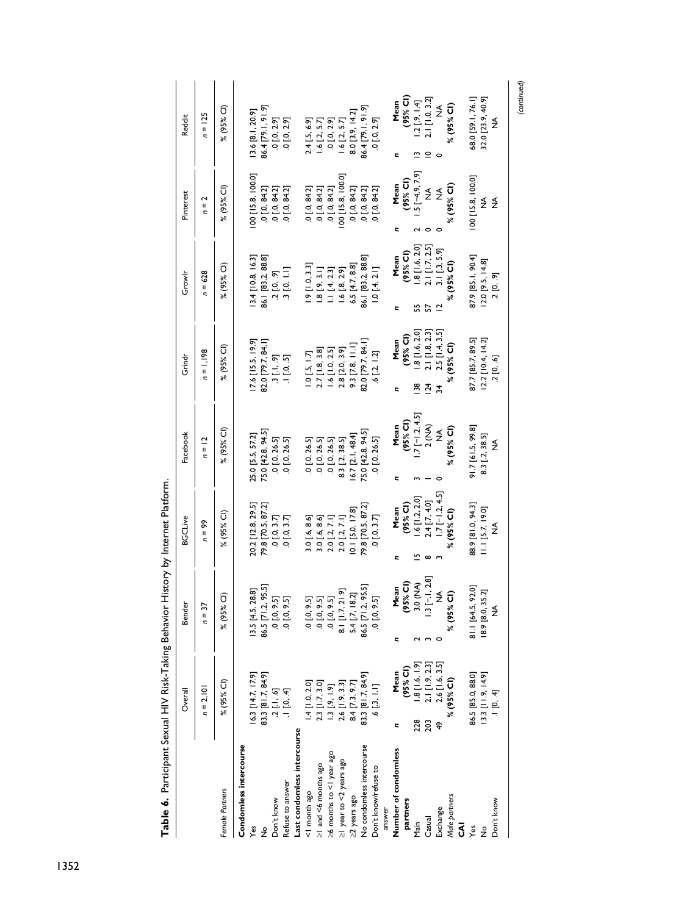|                                | Overall                                                                                  | <b>Bender</b>                                          | <b>BGCLive</b>     | Facebook          | Grindr                                                | Growlr                                     | Pinterest         | <b>Reddit</b>             |
|--------------------------------|------------------------------------------------------------------------------------------|--------------------------------------------------------|--------------------|-------------------|-------------------------------------------------------|--------------------------------------------|-------------------|---------------------------|
|                                | $n = 2,101$                                                                              | $n = 37$                                               | $66 = u$           | $n = 12$          | $n = 1,198$                                           | $n = 628$                                  | $n = 2$           | $n = 125$                 |
| Female Partners                | % (95% CI)                                                                               | % (95% CI)                                             | % (95% CI)         | % (95% CI)        | % (95% CI)                                            | % (95% CI)                                 | % (95% CI)        | % (95% CI)                |
| Condomless intercourse         |                                                                                          |                                                        |                    |                   |                                                       |                                            |                   |                           |
| Yes                            | 6.3 [14.7, 17.9]                                                                         | 13.5 [4.5, 28.8]                                       | 20.2 [12.8, 29.5]  | 25.0 [5.5, 57.2]  | $17.6$ [15.5, 19.9]                                   | $13.4$ [10.8, 16.3]                        | 00 [15.8, 100.0]  | [3.6 [8.1, 20.9]          |
| $\frac{1}{2}$                  | 83.3 [81.7, 84.9]<br>.2 [.I, .6]                                                         |                                                        | 79.8 [70.5, 87.2]  | 75.0 [42.8, 94.5] | 82.0 [79.7, 84.1]                                     | 86.1 [83.2, 88.8]                          | .0 [0.84.2]       | 86.4 [79.1, 91.9]         |
| Don't know                     |                                                                                          |                                                        | $0$ [.0, 3.7]      | $0$ [.0, 26.5]    | 3 [1, 9]                                              | 2 [0, .9]                                  | $0$ [ $0, 84.2$ ] | 0 [0, 2.9]                |
| Refuse to answer               | 1 [0, 4]                                                                                 | 86.5 [71.2, 95.5]<br>0 [.0, 9.5]<br>0 [.0, 9.5]        | $0$ [.0, 3.7]      | .0 [0.26.5]       | $-1$ [.0, .5]                                         | $3$ [.0, 1.1]                              | $0$ [.0, 84.2]    | .0 [0, 2.9]               |
| Last condomless intercourse    |                                                                                          |                                                        |                    |                   |                                                       |                                            |                   |                           |
| <1 month ago                   | $1.4$ [1.0, 2.0]                                                                         | $0$ [.0, 9.5]                                          | 3.0 [.6, 8.6]      | $0$ [.0, 26.5]    | $1.0$ [.5, 1.7]                                       | [.9 [1.0, 3.3]                             | $0$ [0, 84.2]     | $2.4$ [.5, 6.9]           |
| ≥1 and <6 months ago           | 2.3 [1.7, 3.0]                                                                           | 0 [0.9.5]                                              | 3.0 [.6, 8.6]      | $.0$ [.0, 26.5]   | $2.7$ [1.8, 3.8]                                      | [.8 [.9, 3.1]                              | $0$ [.0, 84.2]    | $1.6$ [.2, 5.7]           |
| $\geq$ 6 months to <1 year ago |                                                                                          | .0 [0.9.5]                                             | $2.0$ [.2, $7.1$ ] | .0 [0, 26.5]      | $1.6$ [1.0, 2.5]                                      | $1.1$ [.4, 2.3]                            | .0 [0, 84.2]      | [6.2, 0.10]               |
| $\geq$   year to <2 years ago  | $\begin{array}{c} 1.3 [1.9, 1.9] \\ 2.6 [1.9, 3.3] \end{array}$                          |                                                        | 2.0 [.2, 7.1]      | 8.3 [.2, 38.5]    | 2.8 [2.0, 3.9]                                        | $1.6$ $[.8, 2.9]$                          | 00 [15.8, 100.0]  | $1.6$ [.2, 5.7]           |
| $\geq$ 2 years ago             | 8.4 [7.3, 9.7]<br>83.3 [81.7, 84.9]                                                      | 8.1 [1.7, 21.9]<br>5.4 [.7, 18.2]<br>86.5 [71.2, 95.5] | $0.1$ [5.0, 17.8]  | $6.7$ [2.1, 48.4] | $9.3$ [7.8, 11.1]                                     | 6.5 [4.7, 8.8]                             | $0$ [ $0, 84.2$ ] | 8.0 [3.9, 14.2]           |
| No condomless intercourse      |                                                                                          |                                                        | 79.8 [70.5, 87.2]  | 75.0 [42.8, 94.5] | 82.0 [79.7, 84.1]                                     | 86.1 [83.2, 88.8]                          | $0$ [.0, 84.2]    | 86.4 [79.1, 91.9]         |
| Don't know/refuse to           | $6$ [.3, 1.1]                                                                            | 0 [0, 9.5]                                             | 0 [0, 3.7]         | $0$ [.0, 26.5]    | $6$ [.2, 1.2]                                         | $1.0$ [.4, 2.1]                            | $0$ [.0, 84.2]    | $0$ [.0, 2.9]             |
| answer                         |                                                                                          |                                                        |                    |                   |                                                       |                                            |                   |                           |
| Number of condomless           | Mean<br>c                                                                                |                                                        | Mean               | Mean              | Mean<br>Ξ                                             | Mean                                       | Mean              | Mean                      |
| partners                       | $(95%$ CI)                                                                               | Mean<br>(95% CI)<br>3.0 (NA)                           | (95% C1)           | (95% C1)          | (95% <sup>o</sup> Cl)                                 | (95% C1)                                   | (95% C1)          | (95% C1)                  |
| Main                           | 228                                                                                      |                                                        | $.6$ [1.2, 2.0]    | $1.7$ [-1.2, 4.5] | $1.8$ [1.6, 2.0]<br>38                                | $8$ [1.6, 2.0]                             | $.5[-4.9, 7.9]$   | $1.2$ [.9, 1.4]           |
| Casual                         | $\begin{array}{c} 1.8 [1.6, 1.9] \\ 2.1 [1.9, 2.3] \\ 2.6 [1.6, 3.5] \end{array}$<br>203 | $.3[-.1, 2.8]$                                         | 2.4 [.7, 4.0]      | 2(MA)             | $2.1$ [1.8, 2.3]<br>2.5 [1.4, 3.5]<br>$\overline{24}$ | 2.1 [1.7, 2.5]                             | ≸                 | 2.1 [1.0, 3.2]<br>$\circ$ |
| Exchange                       | 49                                                                                       | $\leq$<br>$\circ$                                      | $1.7$ [-1.2, 4.5]  | ≸                 | 34                                                    | $3.1$ [.3, 5.9]<br>$\overline{\mathbf{r}}$ | $\frac{1}{2}$     | ≸                         |
| Male partners                  | % (95% CI)                                                                               | % (95% CI)                                             | % (95% CI)         | % (95% CI)        | % (95% CI)                                            | % (95% CI)                                 | % (95% CI)        | % (95% CI)                |
| ξ                              |                                                                                          |                                                        |                    |                   |                                                       |                                            |                   |                           |
| Yes                            | 86.5 [85.0, 88.0]                                                                        |                                                        | 88.9 [81.0, 94.3]  | 91.7 [61.5, 99.8] | 87.7 [85.7, 89.5]                                     | 87.9 [85.1, 90.4]                          | 100 [15.8, 100.0] | 68.0 [59.1, 76.1]         |
| $\frac{1}{2}$                  |                                                                                          | 81.1 [64.5, 92.0]<br>18.9 [8.0, 35.2]<br>18.9 [8.0, 35 | $11.1$ [5.7, 19.0] | 8.3 [.2, 38.5]    | $12.2$ $[10.4, 14.2]$                                 | [2.0 [9.5, 14.8]                           |                   | 32.0 [23.9, 40.9]         |
| Don't know                     | 13.3 [11.9, 14.9]<br>1 [0, 4]                                                            | $\frac{1}{2}$                                          | ≸                  | ≸                 | .2 [0, 6]                                             | .2 [0, .9]                                 | ≨ ≨               | ≸                         |
|                                |                                                                                          |                                                        |                    |                   |                                                       |                                            |                   | (continued)               |

Table 6. Participant Sexual HIV Risk-Taking Behavior History by Internet Platform. **Table 6.** Participant Sexual HIV Risk-Taking Behavior History by Internet Platform.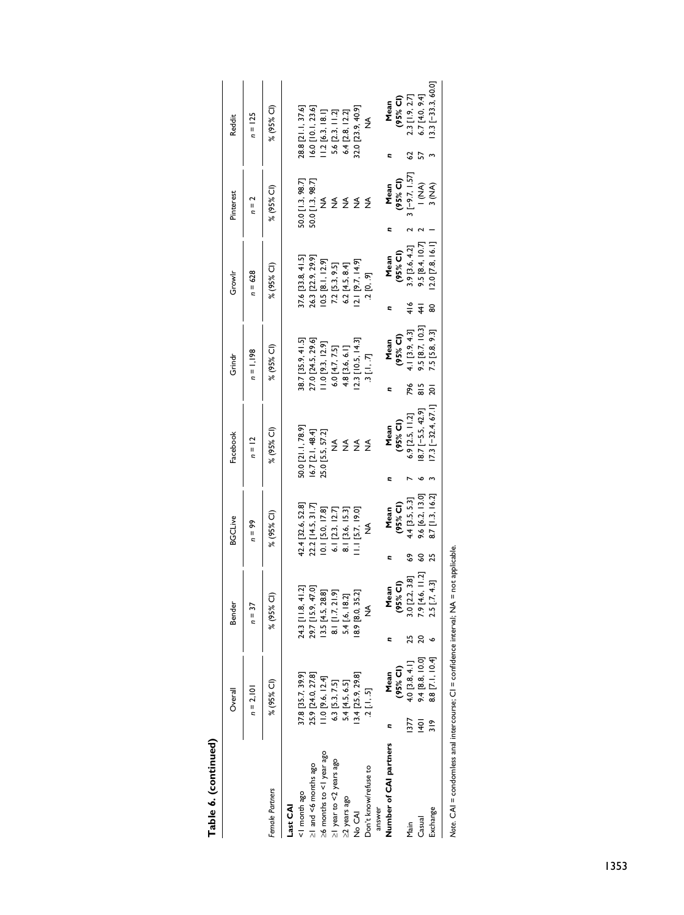| O |
|---|
|   |
|   |
| ١ |
| ſ |
|   |

|                               |                | Overall             | <b>Bender</b>                       | <b>BGCLive</b>     | Facebook             |                | Ğrindr            |               | Growlr            |               | Pinterest             |                   | Reddit                                               |
|-------------------------------|----------------|---------------------|-------------------------------------|--------------------|----------------------|----------------|-------------------|---------------|-------------------|---------------|-----------------------|-------------------|------------------------------------------------------|
|                               |                | $n = 2, 101$        | $n = 37$                            | $h = 99$           | $n = 12$             |                | $n = 1.198$       |               | $n = 628$         | $\frac{1}{2}$ | ∼                     |                   | $n = 125$                                            |
| Female Partners               |                | % (95% CI)          | $\widehat{\sigma}$<br>% (95%        | % (95% CI)         | % (95% Cl)           |                | % (95% CI)        |               | % (95% CI)        |               | % (95% CI)            |                   | % (95% CI)                                           |
| Last CAI                      |                |                     |                                     |                    |                      |                |                   |               |                   |               |                       |                   |                                                      |
| <1 month ago                  |                | [7.8 [35.7, 39.9]   | 41.2]<br>24.3 [11.8,                | 42.4 [32.6, 52.8]  | 50.0 [21.1, 78.9]    |                | 8.7 [35.9, 41.5]  |               | 37.6 [33.8, 41.5] |               | 50.0 [1.3, 98.7]      | 28.8 [21.1, 37.6] |                                                      |
| $\geq$ 1 and <6 months ago    |                | 25.9 [24.0, 27.8]   | 47.0]<br>29.7 [15.9,                | 22.2 [14.5, 31.7]  | $16.7$ [2.1, 48.4]   |                | 27.0 [24.5, 29.6] |               | 26.3 [22.9, 29.9] |               | 50.0 [1.3, 98.7]      | 6.0 [10.1, 23.6]  |                                                      |
| ≥6 months to <1 year ago      |                | $1.0$ [9.6, 12.4]   | [3.5 [4.5, 28.8]                    | [0.1 [5.0, 17.8]   | 25.0 [5.5, 57.2]     |                | 11.0 [9.3, 12.9]  |               | [0.5 [8.1, 12.9]  |               | ≸                     | $1.2$ [6.3, 18.1] |                                                      |
| $\geq$   year to <2 years ago |                | 6.3 [5.3, 7.5]      | $8.1$ [1.7, 21.9]                   | $6.1$ [2.3, 12.7]  | ≸                    |                | 6.0 [4.7, 7.5]    |               | 7.2 [5.3, 9.5]    |               | $\frac{4}{2}$         | 5.6 [2.3, 11.2]   |                                                      |
| $\geq$ 2 years ago            |                | 5.4 [4.5, 6.5]      | 5.4 [.6, 18.2]                      | 8.1 [3.6, 15.3]    | ≸                    |                | 4.8 [3.6, 6.1]    |               | $6.2$ [4.5, 8.4]  |               | $\frac{3}{2}$         | 6.4 [2.8, 12.2]   |                                                      |
| Mo CAI                        |                | 3.4 [25.9, 29.8]    | 8.9 [8.0, 35.2]                     | $11.1$ [5.7, 19.0] | ≸                    |                | 2.3 [10.5, 14.3]  |               | [2.1 [9.7, 14.9]  |               | $\frac{1}{2}$         |                   | 12.0 [23.9, 40.9]                                    |
| Don't know/refuse to          |                | $2$ [.I., 5]        | ≸                                   | ≸                  | ≸                    |                | 7.11.7            |               | .2 [0, .9]        |               | ≸                     |                   | ≸                                                    |
| answer                        |                |                     |                                     |                    |                      |                |                   |               |                   |               |                       |                   |                                                      |
| Number of CAI partners        |                | Mean                | Mean                                | Mean               | Mean                 |                | Mean              |               | Mean              |               | Mean                  |                   | Mean                                                 |
|                               |                | (95% C1)            | 5% CI)                              | (95% C1)           | (95% Cl)             |                | $(95%$ CI)        |               | (95% CI)          |               | (95% Cl)              |                   | $(95%$ CI)                                           |
| Main                          |                | $4.0$ [3.8, $4.1$ ] | [2.2, 3.8]<br>$\tilde{a}$           | 4.4 [3.5, 5.3]     | $6.9$ [2.5, 11.2]    | 796            | 4.1 [3.9, 4.3]    |               | 3.9 [3.6, 4.2]    |               | $3[-9.7, 1.57]$       |                   | $2.3$ [1.9, 2.7]                                     |
| Casual                        | $\bar{P}$      | $.4$ [8.8, 10.0]    | [4.6, 11.2]<br>$\ddot{\phantom{0}}$ | 9.6 [6.2, 13.0]    | $[8.7[-5.5, 42.9]$   | $\frac{5}{8}$  | 9.5 [8.7, 10.3]   | $\frac{4}{1}$ | 9.5 [8.4, 10.7]   |               | RN<br>-               |                   | $6.7$ [4.0, 9.4]                                     |
| Exchange                      | $\frac{6}{21}$ | 8.8 [7.1, 10.4]     | [.7, 4.3]                           | $8.7$ [1.3, 16.2]  | $[7.3 [-32.4, 67.1]$ | $\overline{5}$ | [5.8, 9.3]        | 80            | $2.0$ [7.8, 16.1] |               | $\sum_{n=1}^{\infty}$ |                   | $\begin{bmatrix} 3.3 \\ -33.3 \\ 60.0 \end{bmatrix}$ |
|                               |                |                     |                                     |                    |                      |                |                   |               |                   |               |                       |                   |                                                      |

Note, CAI = condomless anal intercourse; CI = confidence interval; NA = not applicable. *Note.* CAI = condomless anal intercourse; CI = confidence interval; NA = not applicable.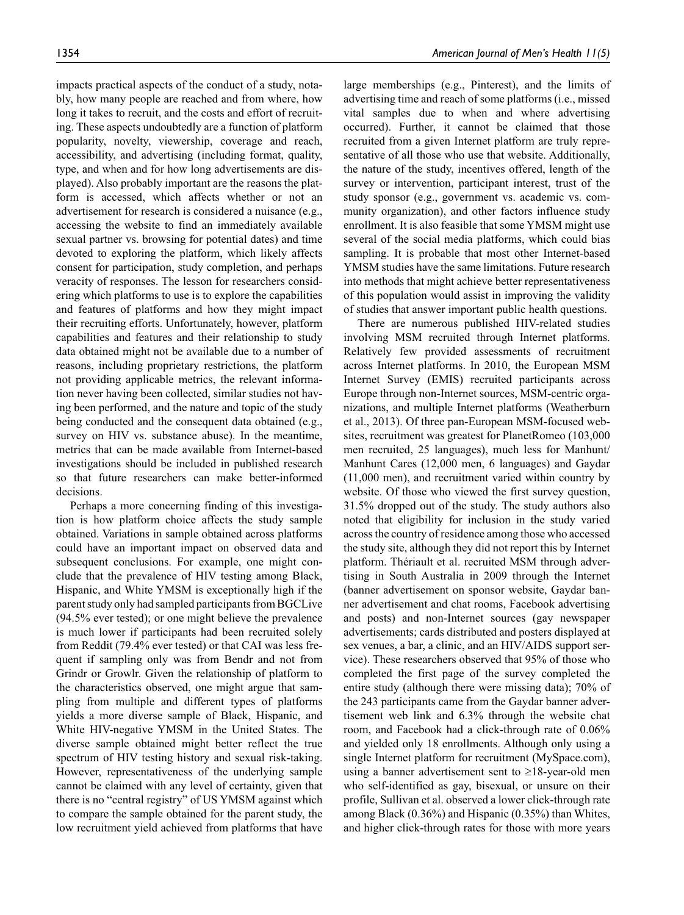impacts practical aspects of the conduct of a study, notably, how many people are reached and from where, how long it takes to recruit, and the costs and effort of recruiting. These aspects undoubtedly are a function of platform popularity, novelty, viewership, coverage and reach, accessibility, and advertising (including format, quality, type, and when and for how long advertisements are displayed). Also probably important are the reasons the platform is accessed, which affects whether or not an advertisement for research is considered a nuisance (e.g., accessing the website to find an immediately available sexual partner vs. browsing for potential dates) and time devoted to exploring the platform, which likely affects consent for participation, study completion, and perhaps veracity of responses. The lesson for researchers considering which platforms to use is to explore the capabilities and features of platforms and how they might impact their recruiting efforts. Unfortunately, however, platform capabilities and features and their relationship to study data obtained might not be available due to a number of reasons, including proprietary restrictions, the platform not providing applicable metrics, the relevant information never having been collected, similar studies not having been performed, and the nature and topic of the study being conducted and the consequent data obtained (e.g., survey on HIV vs. substance abuse). In the meantime, metrics that can be made available from Internet-based investigations should be included in published research so that future researchers can make better-informed decisions.

Perhaps a more concerning finding of this investigation is how platform choice affects the study sample obtained. Variations in sample obtained across platforms could have an important impact on observed data and subsequent conclusions. For example, one might conclude that the prevalence of HIV testing among Black, Hispanic, and White YMSM is exceptionally high if the parent study only had sampled participants from BGCLive (94.5% ever tested); or one might believe the prevalence is much lower if participants had been recruited solely from Reddit (79.4% ever tested) or that CAI was less frequent if sampling only was from Bendr and not from Grindr or Growlr. Given the relationship of platform to the characteristics observed, one might argue that sampling from multiple and different types of platforms yields a more diverse sample of Black, Hispanic, and White HIV-negative YMSM in the United States. The diverse sample obtained might better reflect the true spectrum of HIV testing history and sexual risk-taking. However, representativeness of the underlying sample cannot be claimed with any level of certainty, given that there is no "central registry" of US YMSM against which to compare the sample obtained for the parent study, the low recruitment yield achieved from platforms that have large memberships (e.g., Pinterest), and the limits of advertising time and reach of some platforms (i.e., missed vital samples due to when and where advertising occurred). Further, it cannot be claimed that those recruited from a given Internet platform are truly representative of all those who use that website. Additionally, the nature of the study, incentives offered, length of the survey or intervention, participant interest, trust of the study sponsor (e.g., government vs. academic vs. community organization), and other factors influence study enrollment. It is also feasible that some YMSM might use several of the social media platforms, which could bias sampling. It is probable that most other Internet-based YMSM studies have the same limitations. Future research into methods that might achieve better representativeness of this population would assist in improving the validity of studies that answer important public health questions.

There are numerous published HIV-related studies involving MSM recruited through Internet platforms. Relatively few provided assessments of recruitment across Internet platforms. In 2010, the European MSM Internet Survey (EMIS) recruited participants across Europe through non-Internet sources, MSM-centric organizations, and multiple Internet platforms (Weatherburn et al., 2013). Of three pan-European MSM-focused websites, recruitment was greatest for PlanetRomeo (103,000 men recruited, 25 languages), much less for Manhunt/ Manhunt Cares (12,000 men, 6 languages) and Gaydar (11,000 men), and recruitment varied within country by website. Of those who viewed the first survey question, 31.5% dropped out of the study. The study authors also noted that eligibility for inclusion in the study varied across the country of residence among those who accessed the study site, although they did not report this by Internet platform. Thériault et al. recruited MSM through advertising in South Australia in 2009 through the Internet (banner advertisement on sponsor website, Gaydar banner advertisement and chat rooms, Facebook advertising and posts) and non-Internet sources (gay newspaper advertisements; cards distributed and posters displayed at sex venues, a bar, a clinic, and an HIV/AIDS support service). These researchers observed that 95% of those who completed the first page of the survey completed the entire study (although there were missing data); 70% of the 243 participants came from the Gaydar banner advertisement web link and 6.3% through the website chat room, and Facebook had a click-through rate of 0.06% and yielded only 18 enrollments. Although only using a single Internet platform for recruitment (MySpace.com), using a banner advertisement sent to  $\geq$ 18-year-old men who self-identified as gay, bisexual, or unsure on their profile, Sullivan et al. observed a lower click-through rate among Black (0.36%) and Hispanic (0.35%) than Whites, and higher click-through rates for those with more years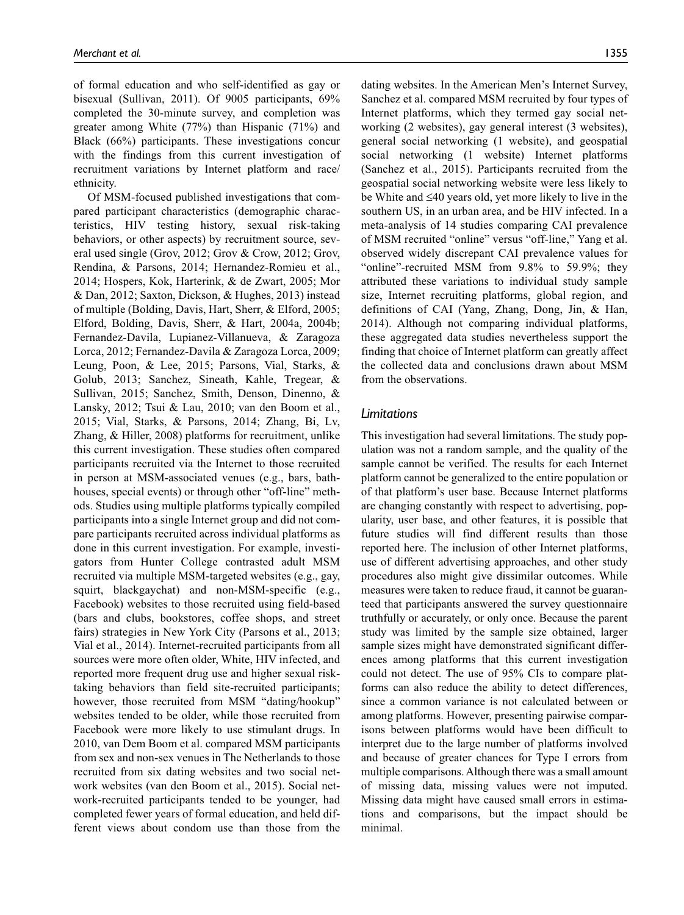of formal education and who self-identified as gay or bisexual (Sullivan, 2011). Of 9005 participants, 69% completed the 30-minute survey, and completion was greater among White (77%) than Hispanic (71%) and Black (66%) participants. These investigations concur with the findings from this current investigation of recruitment variations by Internet platform and race/ ethnicity.

Of MSM-focused published investigations that compared participant characteristics (demographic characteristics, HIV testing history, sexual risk-taking behaviors, or other aspects) by recruitment source, several used single (Grov, 2012; Grov & Crow, 2012; Grov, Rendina, & Parsons, 2014; Hernandez-Romieu et al., 2014; Hospers, Kok, Harterink, & de Zwart, 2005; Mor & Dan, 2012; Saxton, Dickson, & Hughes, 2013) instead of multiple (Bolding, Davis, Hart, Sherr, & Elford, 2005; Elford, Bolding, Davis, Sherr, & Hart, 2004a, 2004b; Fernandez-Davila, Lupianez-Villanueva, & Zaragoza Lorca, 2012; Fernandez-Davila & Zaragoza Lorca, 2009; Leung, Poon, & Lee, 2015; Parsons, Vial, Starks, & Golub, 2013; Sanchez, Sineath, Kahle, Tregear, & Sullivan, 2015; Sanchez, Smith, Denson, Dinenno, & Lansky, 2012; Tsui & Lau, 2010; van den Boom et al., 2015; Vial, Starks, & Parsons, 2014; Zhang, Bi, Lv, Zhang, & Hiller, 2008) platforms for recruitment, unlike this current investigation. These studies often compared participants recruited via the Internet to those recruited in person at MSM-associated venues (e.g., bars, bathhouses, special events) or through other "off-line" methods. Studies using multiple platforms typically compiled participants into a single Internet group and did not compare participants recruited across individual platforms as done in this current investigation. For example, investigators from Hunter College contrasted adult MSM recruited via multiple MSM-targeted websites (e.g., gay, squirt, blackgaychat) and non-MSM-specific (e.g., Facebook) websites to those recruited using field-based (bars and clubs, bookstores, coffee shops, and street fairs) strategies in New York City (Parsons et al., 2013; Vial et al., 2014). Internet-recruited participants from all sources were more often older, White, HIV infected, and reported more frequent drug use and higher sexual risktaking behaviors than field site-recruited participants; however, those recruited from MSM "dating/hookup" websites tended to be older, while those recruited from Facebook were more likely to use stimulant drugs. In 2010, van Dem Boom et al. compared MSM participants from sex and non-sex venues in The Netherlands to those recruited from six dating websites and two social network websites (van den Boom et al., 2015). Social network-recruited participants tended to be younger, had completed fewer years of formal education, and held different views about condom use than those from the dating websites. In the American Men's Internet Survey, Sanchez et al. compared MSM recruited by four types of Internet platforms, which they termed gay social networking (2 websites), gay general interest (3 websites), general social networking (1 website), and geospatial social networking (1 website) Internet platforms (Sanchez et al., 2015). Participants recruited from the geospatial social networking website were less likely to be White and ≤40 years old, yet more likely to live in the southern US, in an urban area, and be HIV infected. In a meta-analysis of 14 studies comparing CAI prevalence of MSM recruited "online" versus "off-line," Yang et al. observed widely discrepant CAI prevalence values for "online"-recruited MSM from 9.8% to 59.9%; they attributed these variations to individual study sample size, Internet recruiting platforms, global region, and definitions of CAI (Yang, Zhang, Dong, Jin, & Han, 2014). Although not comparing individual platforms, these aggregated data studies nevertheless support the finding that choice of Internet platform can greatly affect the collected data and conclusions drawn about MSM from the observations.

#### *Limitations*

This investigation had several limitations. The study population was not a random sample, and the quality of the sample cannot be verified. The results for each Internet platform cannot be generalized to the entire population or of that platform's user base. Because Internet platforms are changing constantly with respect to advertising, popularity, user base, and other features, it is possible that future studies will find different results than those reported here. The inclusion of other Internet platforms, use of different advertising approaches, and other study procedures also might give dissimilar outcomes. While measures were taken to reduce fraud, it cannot be guaranteed that participants answered the survey questionnaire truthfully or accurately, or only once. Because the parent study was limited by the sample size obtained, larger sample sizes might have demonstrated significant differences among platforms that this current investigation could not detect. The use of 95% CIs to compare platforms can also reduce the ability to detect differences, since a common variance is not calculated between or among platforms. However, presenting pairwise comparisons between platforms would have been difficult to interpret due to the large number of platforms involved and because of greater chances for Type I errors from multiple comparisons. Although there was a small amount of missing data, missing values were not imputed. Missing data might have caused small errors in estimations and comparisons, but the impact should be minimal.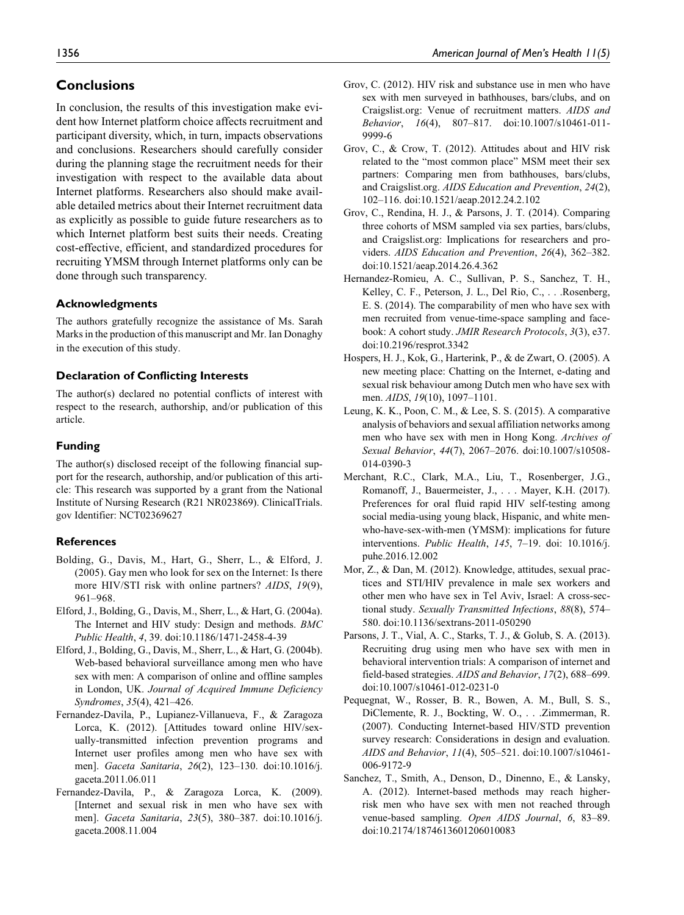### **Conclusions**

In conclusion, the results of this investigation make evident how Internet platform choice affects recruitment and participant diversity, which, in turn, impacts observations and conclusions. Researchers should carefully consider during the planning stage the recruitment needs for their investigation with respect to the available data about Internet platforms. Researchers also should make available detailed metrics about their Internet recruitment data as explicitly as possible to guide future researchers as to which Internet platform best suits their needs. Creating cost-effective, efficient, and standardized procedures for recruiting YMSM through Internet platforms only can be done through such transparency.

#### **Acknowledgments**

The authors gratefully recognize the assistance of Ms. Sarah Marks in the production of this manuscript and Mr. Ian Donaghy in the execution of this study.

#### **Declaration of Conflicting Interests**

The author(s) declared no potential conflicts of interest with respect to the research, authorship, and/or publication of this article.

#### **Funding**

The author(s) disclosed receipt of the following financial support for the research, authorship, and/or publication of this article: This research was supported by a grant from the National Institute of Nursing Research (R21 NR023869). ClinicalTrials. gov Identifier: NCT02369627

#### **References**

- Bolding, G., Davis, M., Hart, G., Sherr, L., & Elford, J. (2005). Gay men who look for sex on the Internet: Is there more HIV/STI risk with online partners? *AIDS*, *19*(9), 961–968.
- Elford, J., Bolding, G., Davis, M., Sherr, L., & Hart, G. (2004a). The Internet and HIV study: Design and methods. *BMC Public Health*, *4*, 39. doi:10.1186/1471-2458-4-39
- Elford, J., Bolding, G., Davis, M., Sherr, L., & Hart, G. (2004b). Web-based behavioral surveillance among men who have sex with men: A comparison of online and offline samples in London, UK. *Journal of Acquired Immune Deficiency Syndromes*, *35*(4), 421–426.
- Fernandez-Davila, P., Lupianez-Villanueva, F., & Zaragoza Lorca, K. (2012). [Attitudes toward online HIV/sexually-transmitted infection prevention programs and Internet user profiles among men who have sex with men]. *Gaceta Sanitaria*, *26*(2), 123–130. doi:10.1016/j. gaceta.2011.06.011
- Fernandez-Davila, P., & Zaragoza Lorca, K. (2009). [Internet and sexual risk in men who have sex with men]. *Gaceta Sanitaria*, *23*(5), 380–387. doi:10.1016/j. gaceta.2008.11.004
- Grov, C. (2012). HIV risk and substance use in men who have sex with men surveyed in bathhouses, bars/clubs, and on Craigslist.org: Venue of recruitment matters. *AIDS and Behavior*, *16*(4), 807–817. doi:10.1007/s10461-011- 9999-6
- Grov, C., & Crow, T. (2012). Attitudes about and HIV risk related to the "most common place" MSM meet their sex partners: Comparing men from bathhouses, bars/clubs, and Craigslist.org. *AIDS Education and Prevention*, *24*(2), 102–116. doi:10.1521/aeap.2012.24.2.102
- Grov, C., Rendina, H. J., & Parsons, J. T. (2014). Comparing three cohorts of MSM sampled via sex parties, bars/clubs, and Craigslist.org: Implications for researchers and providers. *AIDS Education and Prevention*, *26*(4), 362–382. doi:10.1521/aeap.2014.26.4.362
- Hernandez-Romieu, A. C., Sullivan, P. S., Sanchez, T. H., Kelley, C. F., Peterson, J. L., Del Rio, C., . . .Rosenberg, E. S. (2014). The comparability of men who have sex with men recruited from venue-time-space sampling and facebook: A cohort study. *JMIR Research Protocols*, *3*(3), e37. doi:10.2196/resprot.3342
- Hospers, H. J., Kok, G., Harterink, P., & de Zwart, O. (2005). A new meeting place: Chatting on the Internet, e-dating and sexual risk behaviour among Dutch men who have sex with men. *AIDS*, *19*(10), 1097–1101.
- Leung, K. K., Poon, C. M., & Lee, S. S. (2015). A comparative analysis of behaviors and sexual affiliation networks among men who have sex with men in Hong Kong. *Archives of Sexual Behavior*, *44*(7), 2067–2076. doi:10.1007/s10508- 014-0390-3
- Merchant, R.C., Clark, M.A., Liu, T., Rosenberger, J.G., Romanoff, J., Bauermeister, J., . . . Mayer, K.H. (2017). Preferences for oral fluid rapid HIV self-testing among social media-using young black, Hispanic, and white menwho-have-sex-with-men (YMSM): implications for future interventions. *Public Health*, *145*, 7–19. doi: 10.1016/j. puhe.2016.12.002
- Mor, Z., & Dan, M. (2012). Knowledge, attitudes, sexual practices and STI/HIV prevalence in male sex workers and other men who have sex in Tel Aviv, Israel: A cross-sectional study. *Sexually Transmitted Infections*, *88*(8), 574– 580. doi:10.1136/sextrans-2011-050290
- Parsons, J. T., Vial, A. C., Starks, T. J., & Golub, S. A. (2013). Recruiting drug using men who have sex with men in behavioral intervention trials: A comparison of internet and field-based strategies. *AIDS and Behavior*, *17*(2), 688–699. doi:10.1007/s10461-012-0231-0
- Pequegnat, W., Rosser, B. R., Bowen, A. M., Bull, S. S., DiClemente, R. J., Bockting, W. O., . . .Zimmerman, R. (2007). Conducting Internet-based HIV/STD prevention survey research: Considerations in design and evaluation. *AIDS and Behavior*, *11*(4), 505–521. doi:10.1007/s10461- 006-9172-9
- Sanchez, T., Smith, A., Denson, D., Dinenno, E., & Lansky, A. (2012). Internet-based methods may reach higherrisk men who have sex with men not reached through venue-based sampling. *Open AIDS Journal*, *6*, 83–89. doi:10.2174/1874613601206010083